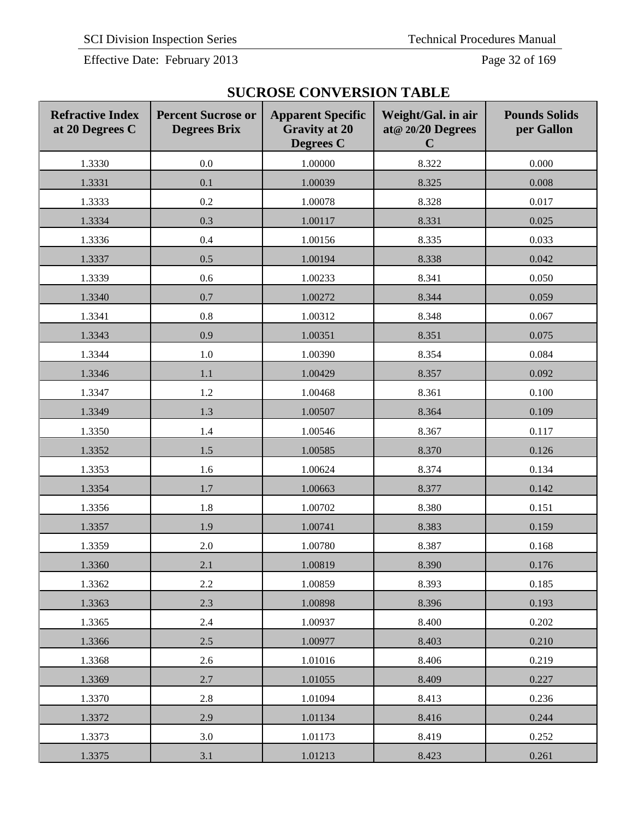Effective Date: February 2013 Page 32 of 169

| <b>SUCROSE CONVERSION TABLE</b> |                                                            |  |     |  |  |
|---------------------------------|------------------------------------------------------------|--|-----|--|--|
|                                 | ercent Sucrose or   Apparent Specific   Weight/Gal. in air |  | Pou |  |  |

| <b>Refractive Index</b><br>at 20 Degrees C | <b>Percent Sucrose or</b><br><b>Degrees Brix</b> | <b>Apparent Specific</b><br><b>Gravity at 20</b><br><b>Degrees C</b> | Weight/Gal. in air<br>at@ 20/20 Degrees<br>$\mathbf C$ | <b>Pounds Solids</b><br>per Gallon |
|--------------------------------------------|--------------------------------------------------|----------------------------------------------------------------------|--------------------------------------------------------|------------------------------------|
| 1.3330                                     | 0.0                                              | 1.00000                                                              | 8.322                                                  | 0.000                              |
| 1.3331                                     | 0.1                                              | 1.00039                                                              | 8.325                                                  | 0.008                              |
| 1.3333                                     | 0.2                                              | 1.00078                                                              | 8.328                                                  | 0.017                              |
| 1.3334                                     | 0.3                                              | 1.00117                                                              | 8.331                                                  | 0.025                              |
| 1.3336                                     | 0.4                                              | 1.00156                                                              | 8.335                                                  | 0.033                              |
| 1.3337                                     | 0.5                                              | 1.00194                                                              | 8.338                                                  | 0.042                              |
| 1.3339                                     | 0.6                                              | 1.00233                                                              | 8.341                                                  | 0.050                              |
| 1.3340                                     | 0.7                                              | 1.00272                                                              | 8.344                                                  | 0.059                              |
| 1.3341                                     | $0.8\,$                                          | 1.00312                                                              | 8.348                                                  | 0.067                              |
| 1.3343                                     | 0.9                                              | 1.00351                                                              | 8.351                                                  | 0.075                              |
| 1.3344                                     | $1.0\,$                                          | 1.00390                                                              | 8.354                                                  | 0.084                              |
| 1.3346                                     | 1.1                                              | 1.00429                                                              | 8.357                                                  | 0.092                              |
| 1.3347                                     | $1.2\,$                                          | 1.00468                                                              | 8.361                                                  | 0.100                              |
| 1.3349                                     | 1.3                                              | 1.00507                                                              | 8.364                                                  | 0.109                              |
| 1.3350                                     | 1.4                                              | 1.00546                                                              | 8.367                                                  | 0.117                              |
| 1.3352                                     | 1.5                                              | 1.00585                                                              | 8.370                                                  | 0.126                              |
| 1.3353                                     | 1.6                                              | 1.00624                                                              | 8.374                                                  | 0.134                              |
| 1.3354                                     | 1.7                                              | 1.00663                                                              | 8.377                                                  | 0.142                              |
| 1.3356                                     | 1.8                                              | 1.00702                                                              | 8.380                                                  | 0.151                              |
| 1.3357                                     | 1.9                                              | 1.00741                                                              | 8.383                                                  | 0.159                              |
| 1.3359                                     | 2.0                                              | 1.00780                                                              | 8.387                                                  | 0.168                              |
| 1.3360                                     | 2.1                                              | 1.00819                                                              | 8.390                                                  | 0.176                              |
| 1.3362                                     | $2.2\,$                                          | 1.00859                                                              | 8.393                                                  | 0.185                              |
| 1.3363                                     | 2.3                                              | 1.00898                                                              | 8.396                                                  | 0.193                              |
| 1.3365                                     | 2.4                                              | 1.00937                                                              | 8.400                                                  | 0.202                              |
| 1.3366                                     | 2.5                                              | 1.00977                                                              | 8.403                                                  | 0.210                              |
| 1.3368                                     | 2.6                                              | 1.01016                                                              | 8.406                                                  | 0.219                              |
| 1.3369                                     | 2.7                                              | 1.01055                                                              | 8.409                                                  | 0.227                              |
| 1.3370                                     | $2.8\,$                                          | 1.01094                                                              | 8.413                                                  | 0.236                              |
| 1.3372                                     | 2.9                                              | 1.01134                                                              | 8.416                                                  | 0.244                              |
| 1.3373                                     | 3.0                                              | 1.01173                                                              | 8.419                                                  | 0.252                              |
| 1.3375                                     | 3.1                                              | 1.01213                                                              | 8.423                                                  | 0.261                              |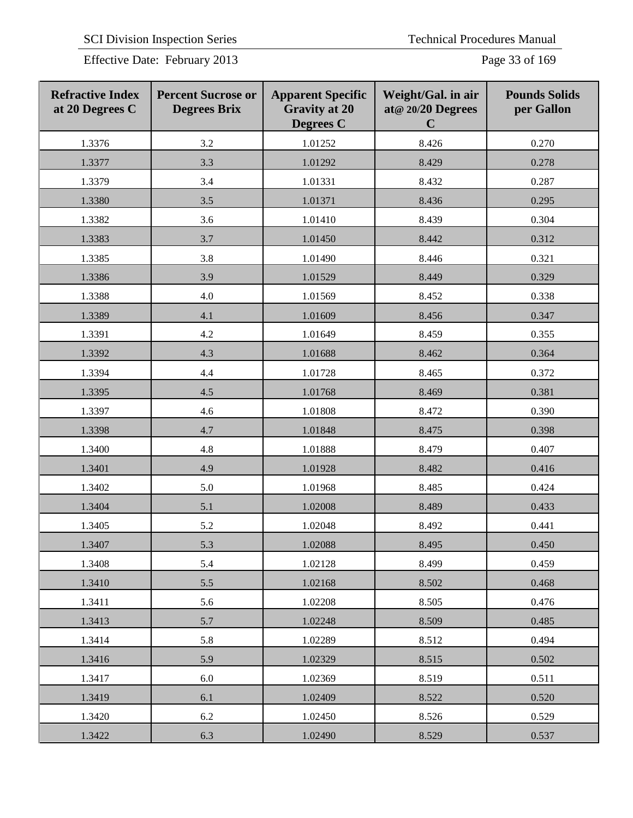SCI Division Inspection Series Technical Procedures Manual

Effective Date: February 2013 Page 33 of 169

| <b>Refractive Index</b><br>at 20 Degrees C | <b>Percent Sucrose or</b><br><b>Degrees Brix</b> | <b>Apparent Specific</b><br><b>Gravity at 20</b><br>Degrees C | Weight/Gal. in air<br>at@ 20/20 Degrees<br>$\mathbf C$ | <b>Pounds Solids</b><br>per Gallon |
|--------------------------------------------|--------------------------------------------------|---------------------------------------------------------------|--------------------------------------------------------|------------------------------------|
| 1.3376                                     | 3.2                                              | 1.01252                                                       | 8.426                                                  | 0.270                              |
| 1.3377                                     | 3.3                                              | 1.01292                                                       | 8.429                                                  | 0.278                              |
| 1.3379                                     | 3.4                                              | 1.01331                                                       | 8.432                                                  | 0.287                              |
| 1.3380                                     | 3.5                                              | 1.01371                                                       | 8.436                                                  | 0.295                              |
| 1.3382                                     | 3.6                                              | 1.01410                                                       | 8.439                                                  | 0.304                              |
| 1.3383                                     | 3.7                                              | 1.01450                                                       | 8.442                                                  | 0.312                              |
| 1.3385                                     | 3.8                                              | 1.01490                                                       | 8.446                                                  | 0.321                              |
| 1.3386                                     | 3.9                                              | 1.01529                                                       | 8.449                                                  | 0.329                              |
| 1.3388                                     | 4.0                                              | 1.01569                                                       | 8.452                                                  | 0.338                              |
| 1.3389                                     | 4.1                                              | 1.01609                                                       | 8.456                                                  | 0.347                              |
| 1.3391                                     | 4.2                                              | 1.01649                                                       | 8.459                                                  | 0.355                              |
| 1.3392                                     | 4.3                                              | 1.01688                                                       | 8.462                                                  | 0.364                              |
| 1.3394                                     | 4.4                                              | 1.01728                                                       | 8.465                                                  | 0.372                              |
| 1.3395                                     | 4.5                                              | 1.01768                                                       | 8.469                                                  | 0.381                              |
| 1.3397                                     | 4.6                                              | 1.01808                                                       | 8.472                                                  | 0.390                              |
| 1.3398                                     | 4.7                                              | 1.01848                                                       | 8.475                                                  | 0.398                              |
| 1.3400                                     | 4.8                                              | 1.01888                                                       | 8.479                                                  | 0.407                              |
| 1.3401                                     | 4.9                                              | 1.01928                                                       | 8.482                                                  | 0.416                              |
| 1.3402                                     | 5.0                                              | 1.01968                                                       | 8.485                                                  | 0.424                              |
| 1.3404                                     | 5.1                                              | 1.02008                                                       | 8.489                                                  | 0.433                              |
| 1.3405                                     | 5.2                                              | 1.02048                                                       | 8.492                                                  | 0.441                              |
| 1.3407                                     | 5.3                                              | 1.02088                                                       | 8.495                                                  | 0.450                              |
| 1.3408                                     | 5.4                                              | 1.02128                                                       | 8.499                                                  | 0.459                              |
| 1.3410                                     | 5.5                                              | 1.02168                                                       | 8.502                                                  | 0.468                              |
| 1.3411                                     | 5.6                                              | 1.02208                                                       | 8.505                                                  | 0.476                              |
| 1.3413                                     | 5.7                                              | 1.02248                                                       | 8.509                                                  | 0.485                              |
| 1.3414                                     | 5.8                                              | 1.02289                                                       | 8.512                                                  | 0.494                              |
| 1.3416                                     | 5.9                                              | 1.02329                                                       | 8.515                                                  | 0.502                              |
| 1.3417                                     | 6.0                                              | 1.02369                                                       | 8.519                                                  | 0.511                              |
| 1.3419                                     | 6.1                                              | 1.02409                                                       | 8.522                                                  | 0.520                              |
| 1.3420                                     | 6.2                                              | 1.02450                                                       | 8.526                                                  | 0.529                              |
| 1.3422                                     | 6.3                                              | 1.02490                                                       | 8.529                                                  | 0.537                              |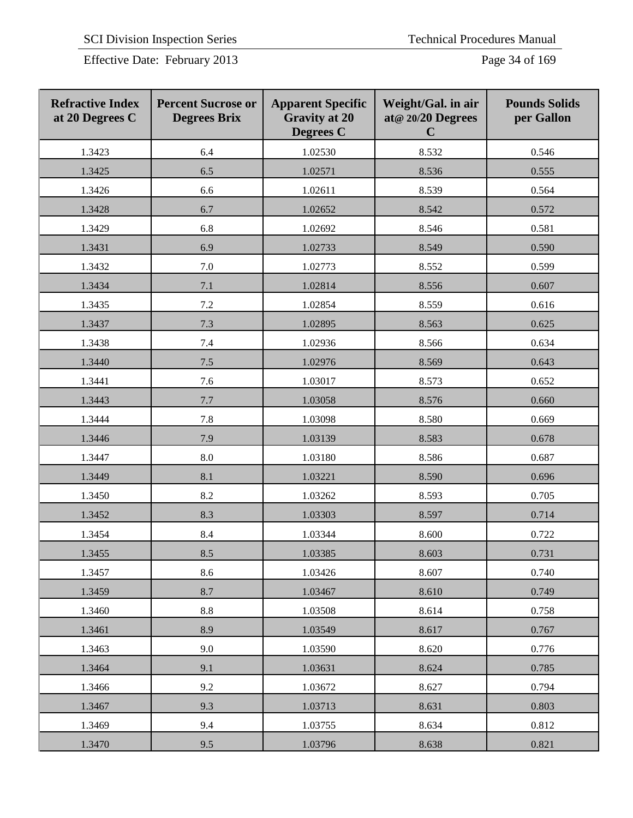| <b>Refractive Index</b><br>at 20 Degrees C | <b>Percent Sucrose or</b><br><b>Degrees Brix</b> | <b>Apparent Specific</b><br><b>Gravity at 20</b><br><b>Degrees C</b> | Weight/Gal. in air<br>at@ 20/20 Degrees<br>$\mathbf C$ | <b>Pounds Solids</b><br>per Gallon |
|--------------------------------------------|--------------------------------------------------|----------------------------------------------------------------------|--------------------------------------------------------|------------------------------------|
| 1.3423                                     | 6.4                                              | 1.02530                                                              | 8.532                                                  | 0.546                              |
| 1.3425                                     | 6.5                                              | 1.02571                                                              | 8.536                                                  | 0.555                              |
| 1.3426                                     | 6.6                                              | 1.02611                                                              | 8.539                                                  | 0.564                              |
| 1.3428                                     | 6.7                                              | 1.02652                                                              | 8.542                                                  | 0.572                              |
| 1.3429                                     | 6.8                                              | 1.02692                                                              | 8.546                                                  | 0.581                              |
| 1.3431                                     | 6.9                                              | 1.02733                                                              | 8.549                                                  | 0.590                              |
| 1.3432                                     | 7.0                                              | 1.02773                                                              | 8.552                                                  | 0.599                              |
| 1.3434                                     | 7.1                                              | 1.02814                                                              | 8.556                                                  | 0.607                              |
| 1.3435                                     | 7.2                                              | 1.02854                                                              | 8.559                                                  | 0.616                              |
| 1.3437                                     | 7.3                                              | 1.02895                                                              | 8.563                                                  | 0.625                              |
| 1.3438                                     | 7.4                                              | 1.02936                                                              | 8.566                                                  | 0.634                              |
| 1.3440                                     | 7.5                                              | 1.02976                                                              | 8.569                                                  | 0.643                              |
| 1.3441                                     | 7.6                                              | 1.03017                                                              | 8.573                                                  | 0.652                              |
| 1.3443                                     | 7.7                                              | 1.03058                                                              | 8.576                                                  | 0.660                              |
| 1.3444                                     | 7.8                                              | 1.03098                                                              | 8.580                                                  | 0.669                              |
| 1.3446                                     | 7.9                                              | 1.03139                                                              | 8.583                                                  | 0.678                              |
| 1.3447                                     | 8.0                                              | 1.03180                                                              | 8.586                                                  | 0.687                              |
| 1.3449                                     | 8.1                                              | 1.03221                                                              | 8.590                                                  | 0.696                              |
| 1.3450                                     | 8.2                                              | 1.03262                                                              | 8.593                                                  | 0.705                              |
| 1.3452                                     | 8.3                                              | 1.03303                                                              | 8.597                                                  | 0.714                              |
| 1.3454                                     | 8.4                                              | 1.03344                                                              | 8.600                                                  | 0.722                              |
| 1.3455                                     | 8.5                                              | 1.03385                                                              | 8.603                                                  | 0.731                              |
| 1.3457                                     | 8.6                                              | 1.03426                                                              | 8.607                                                  | 0.740                              |
| 1.3459                                     | 8.7                                              | 1.03467                                                              | 8.610                                                  | 0.749                              |
| 1.3460                                     | $8.8\,$                                          | 1.03508                                                              | 8.614                                                  | 0.758                              |
| 1.3461                                     | 8.9                                              | 1.03549                                                              | 8.617                                                  | 0.767                              |
| 1.3463                                     | 9.0                                              | 1.03590                                                              | 8.620                                                  | 0.776                              |
| 1.3464                                     | 9.1                                              | 1.03631                                                              | 8.624                                                  | 0.785                              |
| 1.3466                                     | 9.2                                              | 1.03672                                                              | 8.627                                                  | 0.794                              |
| 1.3467                                     | 9.3                                              | 1.03713                                                              | 8.631                                                  | 0.803                              |
| 1.3469                                     | 9.4                                              | 1.03755                                                              | 8.634                                                  | 0.812                              |
| 1.3470                                     | 9.5                                              | 1.03796                                                              | 8.638                                                  | 0.821                              |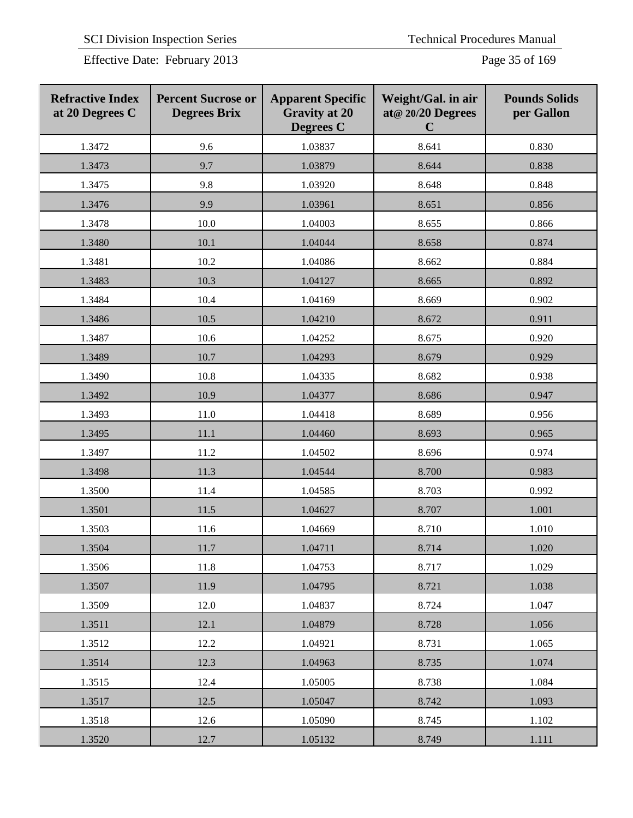Effective Date: February 2013 Page 35 of 169

| <b>Refractive Index</b><br>at 20 Degrees C | <b>Percent Sucrose or</b><br><b>Degrees Brix</b> | <b>Apparent Specific</b><br><b>Gravity at 20</b><br><b>Degrees</b> C | Weight/Gal. in air<br>at@ 20/20 Degrees<br>$\mathbf C$ | <b>Pounds Solids</b><br>per Gallon |
|--------------------------------------------|--------------------------------------------------|----------------------------------------------------------------------|--------------------------------------------------------|------------------------------------|
| 1.3472                                     | 9.6                                              | 1.03837                                                              | 8.641                                                  | 0.830                              |
| 1.3473                                     | 9.7                                              | 1.03879                                                              | 8.644                                                  | 0.838                              |
| 1.3475                                     | 9.8                                              | 1.03920                                                              | 8.648                                                  | 0.848                              |
| 1.3476                                     | 9.9                                              | 1.03961                                                              | 8.651                                                  | 0.856                              |
| 1.3478                                     | 10.0                                             | 1.04003                                                              | 8.655                                                  | 0.866                              |
| 1.3480                                     | 10.1                                             | 1.04044                                                              | 8.658                                                  | 0.874                              |
| 1.3481                                     | 10.2                                             | 1.04086                                                              | 8.662                                                  | 0.884                              |
| 1.3483                                     | 10.3                                             | 1.04127                                                              | 8.665                                                  | 0.892                              |
| 1.3484                                     | 10.4                                             | 1.04169                                                              | 8.669                                                  | 0.902                              |
| 1.3486                                     | 10.5                                             | 1.04210                                                              | 8.672                                                  | 0.911                              |
| 1.3487                                     | 10.6                                             | 1.04252                                                              | 8.675                                                  | 0.920                              |
| 1.3489                                     | 10.7                                             | 1.04293                                                              | 8.679                                                  | 0.929                              |
| 1.3490                                     | 10.8                                             | 1.04335                                                              | 8.682                                                  | 0.938                              |
| 1.3492                                     | 10.9                                             | 1.04377                                                              | 8.686                                                  | 0.947                              |
| 1.3493                                     | 11.0                                             | 1.04418                                                              | 8.689                                                  | 0.956                              |
| 1.3495                                     | 11.1                                             | 1.04460                                                              | 8.693                                                  | 0.965                              |
| 1.3497                                     | 11.2                                             | 1.04502                                                              | 8.696                                                  | 0.974                              |
| 1.3498                                     | 11.3                                             | 1.04544                                                              | 8.700                                                  | 0.983                              |
| 1.3500                                     | 11.4                                             | 1.04585                                                              | 8.703                                                  | 0.992                              |
| 1.3501                                     | 11.5                                             | 1.04627                                                              | 8.707                                                  | 1.001                              |
| 1.3503                                     | 11.6                                             | 1.04669                                                              | 8.710                                                  | 1.010                              |
| 1.3504                                     | $11.7\,$                                         | 1.04711                                                              | 8.714                                                  | 1.020                              |
| 1.3506                                     | 11.8                                             | 1.04753                                                              | 8.717                                                  | 1.029                              |
| 1.3507                                     | 11.9                                             | 1.04795                                                              | 8.721                                                  | 1.038                              |
| 1.3509                                     | 12.0                                             | 1.04837                                                              | 8.724                                                  | 1.047                              |
| 1.3511                                     | 12.1                                             | 1.04879                                                              | 8.728                                                  | 1.056                              |
| 1.3512                                     | 12.2                                             | 1.04921                                                              | 8.731                                                  | 1.065                              |
| 1.3514                                     | 12.3                                             | 1.04963                                                              | 8.735                                                  | 1.074                              |
| 1.3515                                     | 12.4                                             | 1.05005                                                              | 8.738                                                  | 1.084                              |
| 1.3517                                     | 12.5                                             | 1.05047                                                              | 8.742                                                  | 1.093                              |
| 1.3518                                     | 12.6                                             | 1.05090                                                              | 8.745                                                  | 1.102                              |
| 1.3520                                     | 12.7                                             | 1.05132                                                              | 8.749                                                  | 1.111                              |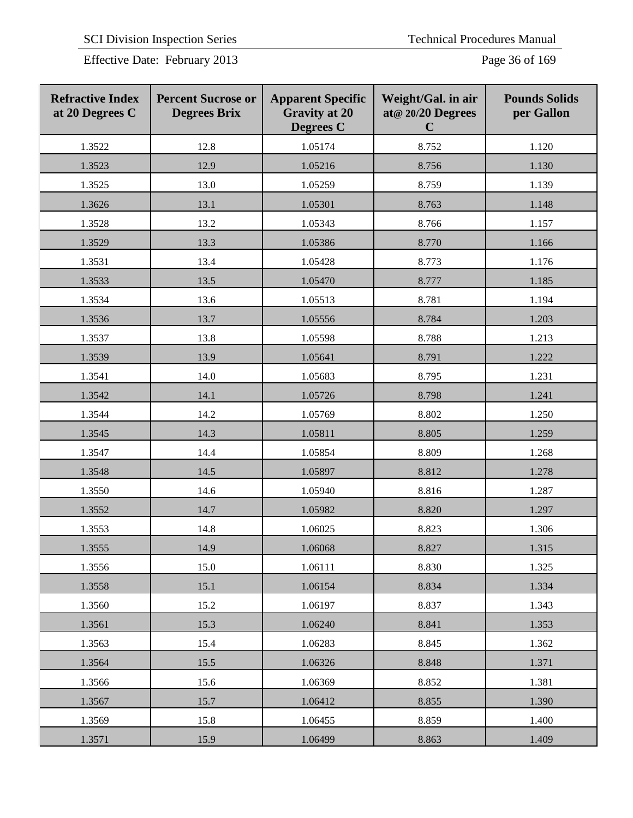Effective Date: February 2013 Page 36 of 169

| <b>Refractive Index</b><br>at 20 Degrees C | <b>Percent Sucrose or</b><br><b>Degrees Brix</b> | <b>Apparent Specific</b><br><b>Gravity at 20</b><br><b>Degrees</b> C | Weight/Gal. in air<br>at@ 20/20 Degrees<br>$\mathbf C$ | <b>Pounds Solids</b><br>per Gallon |
|--------------------------------------------|--------------------------------------------------|----------------------------------------------------------------------|--------------------------------------------------------|------------------------------------|
| 1.3522                                     | 12.8                                             | 1.05174                                                              | 8.752                                                  | 1.120                              |
| 1.3523                                     | 12.9                                             | 1.05216                                                              | 8.756                                                  | 1.130                              |
| 1.3525                                     | 13.0                                             | 1.05259                                                              | 8.759                                                  | 1.139                              |
| 1.3626                                     | 13.1                                             | 1.05301                                                              | 8.763                                                  | 1.148                              |
| 1.3528                                     | 13.2                                             | 1.05343                                                              | 8.766                                                  | 1.157                              |
| 1.3529                                     | 13.3                                             | 1.05386                                                              | 8.770                                                  | 1.166                              |
| 1.3531                                     | 13.4                                             | 1.05428                                                              | 8.773                                                  | 1.176                              |
| 1.3533                                     | 13.5                                             | 1.05470                                                              | 8.777                                                  | 1.185                              |
| 1.3534                                     | 13.6                                             | 1.05513                                                              | 8.781                                                  | 1.194                              |
| 1.3536                                     | 13.7                                             | 1.05556                                                              | 8.784                                                  | 1.203                              |
| 1.3537                                     | 13.8                                             | 1.05598                                                              | 8.788                                                  | 1.213                              |
| 1.3539                                     | 13.9                                             | 1.05641                                                              | 8.791                                                  | 1.222                              |
| 1.3541                                     | 14.0                                             | 1.05683                                                              | 8.795                                                  | 1.231                              |
| 1.3542                                     | 14.1                                             | 1.05726                                                              | 8.798                                                  | 1.241                              |
| 1.3544                                     | 14.2                                             | 1.05769                                                              | 8.802                                                  | 1.250                              |
| 1.3545                                     | 14.3                                             | 1.05811                                                              | 8.805                                                  | 1.259                              |
| 1.3547                                     | 14.4                                             | 1.05854                                                              | 8.809                                                  | 1.268                              |
| 1.3548                                     | 14.5                                             | 1.05897                                                              | 8.812                                                  | 1.278                              |
| 1.3550                                     | 14.6                                             | 1.05940                                                              | 8.816                                                  | 1.287                              |
| 1.3552                                     | 14.7                                             | 1.05982                                                              | 8.820                                                  | 1.297                              |
| 1.3553                                     | 14.8                                             | 1.06025                                                              | 8.823                                                  | 1.306                              |
| 1.3555                                     | 14.9                                             | 1.06068                                                              | 8.827                                                  | 1.315                              |
| 1.3556                                     | 15.0                                             | 1.06111                                                              | 8.830                                                  | 1.325                              |
| 1.3558                                     | 15.1                                             | 1.06154                                                              | 8.834                                                  | 1.334                              |
| 1.3560                                     | 15.2                                             | 1.06197                                                              | 8.837                                                  | 1.343                              |
| 1.3561                                     | 15.3                                             | 1.06240                                                              | 8.841                                                  | 1.353                              |
| 1.3563                                     | 15.4                                             | 1.06283                                                              | 8.845                                                  | 1.362                              |
| 1.3564                                     | 15.5                                             | 1.06326                                                              | 8.848                                                  | 1.371                              |
| 1.3566                                     | 15.6                                             | 1.06369                                                              | 8.852                                                  | 1.381                              |
| 1.3567                                     | 15.7                                             | 1.06412                                                              | 8.855                                                  | 1.390                              |
| 1.3569                                     | 15.8                                             | 1.06455                                                              | 8.859                                                  | 1.400                              |
| 1.3571                                     | 15.9                                             | 1.06499                                                              | 8.863                                                  | 1.409                              |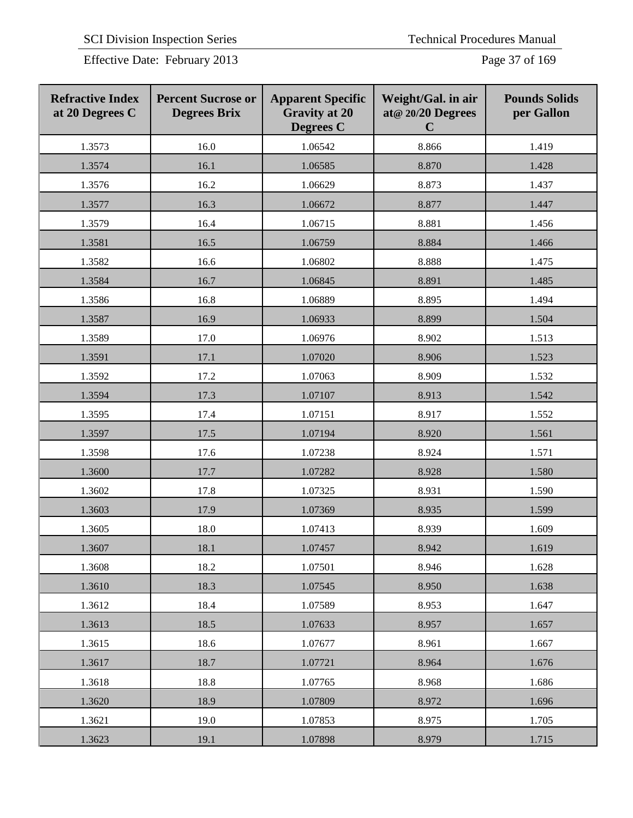Effective Date: February 2013 Page 37 of 169

| <b>Refractive Index</b><br>at 20 Degrees C | <b>Percent Sucrose or</b><br><b>Degrees Brix</b> | <b>Apparent Specific</b><br><b>Gravity at 20</b><br><b>Degrees C</b> | Weight/Gal. in air<br>at@ 20/20 Degrees<br>$\mathbf C$ | <b>Pounds Solids</b><br>per Gallon |
|--------------------------------------------|--------------------------------------------------|----------------------------------------------------------------------|--------------------------------------------------------|------------------------------------|
| 1.3573                                     | 16.0                                             | 1.06542                                                              | 8.866                                                  | 1.419                              |
| 1.3574                                     | 16.1                                             | 1.06585                                                              | 8.870                                                  | 1.428                              |
| 1.3576                                     | 16.2                                             | 1.06629                                                              | 8.873                                                  | 1.437                              |
| 1.3577                                     | 16.3                                             | 1.06672                                                              | 8.877                                                  | 1.447                              |
| 1.3579                                     | 16.4                                             | 1.06715                                                              | 8.881                                                  | 1.456                              |
| 1.3581                                     | 16.5                                             | 1.06759                                                              | 8.884                                                  | 1.466                              |
| 1.3582                                     | 16.6                                             | 1.06802                                                              | 8.888                                                  | 1.475                              |
| 1.3584                                     | 16.7                                             | 1.06845                                                              | 8.891                                                  | 1.485                              |
| 1.3586                                     | 16.8                                             | 1.06889                                                              | 8.895                                                  | 1.494                              |
| 1.3587                                     | 16.9                                             | 1.06933                                                              | 8.899                                                  | 1.504                              |
| 1.3589                                     | 17.0                                             | 1.06976                                                              | 8.902                                                  | 1.513                              |
| 1.3591                                     | 17.1                                             | 1.07020                                                              | 8.906                                                  | 1.523                              |
| 1.3592                                     | 17.2                                             | 1.07063                                                              | 8.909                                                  | 1.532                              |
| 1.3594                                     | 17.3                                             | 1.07107                                                              | 8.913                                                  | 1.542                              |
| 1.3595                                     | 17.4                                             | 1.07151                                                              | 8.917                                                  | 1.552                              |
| 1.3597                                     | 17.5                                             | 1.07194                                                              | 8.920                                                  | 1.561                              |
| 1.3598                                     | 17.6                                             | 1.07238                                                              | 8.924                                                  | 1.571                              |
| 1.3600                                     | 17.7                                             | 1.07282                                                              | 8.928                                                  | 1.580                              |
| 1.3602                                     | 17.8                                             | 1.07325                                                              | 8.931                                                  | 1.590                              |
| 1.3603                                     | 17.9                                             | 1.07369                                                              | 8.935                                                  | 1.599                              |
| 1.3605                                     | 18.0                                             | 1.07413                                                              | 8.939                                                  | 1.609                              |
| 1.3607                                     | 18.1                                             | 1.07457                                                              | 8.942                                                  | 1.619                              |
| 1.3608                                     | 18.2                                             | 1.07501                                                              | 8.946                                                  | 1.628                              |
| 1.3610                                     | 18.3                                             | 1.07545                                                              | 8.950                                                  | 1.638                              |
| 1.3612                                     | 18.4                                             | 1.07589                                                              | 8.953                                                  | 1.647                              |
| 1.3613                                     | 18.5                                             | 1.07633                                                              | 8.957                                                  | 1.657                              |
| 1.3615                                     | 18.6                                             | 1.07677                                                              | 8.961                                                  | 1.667                              |
| 1.3617                                     | 18.7                                             | 1.07721                                                              | 8.964                                                  | 1.676                              |
| 1.3618                                     | 18.8                                             | 1.07765                                                              | 8.968                                                  | 1.686                              |
| 1.3620                                     | 18.9                                             | 1.07809                                                              | 8.972                                                  | 1.696                              |
| 1.3621                                     | 19.0                                             | 1.07853                                                              | 8.975                                                  | 1.705                              |
| 1.3623                                     | 19.1                                             | 1.07898                                                              | 8.979                                                  | 1.715                              |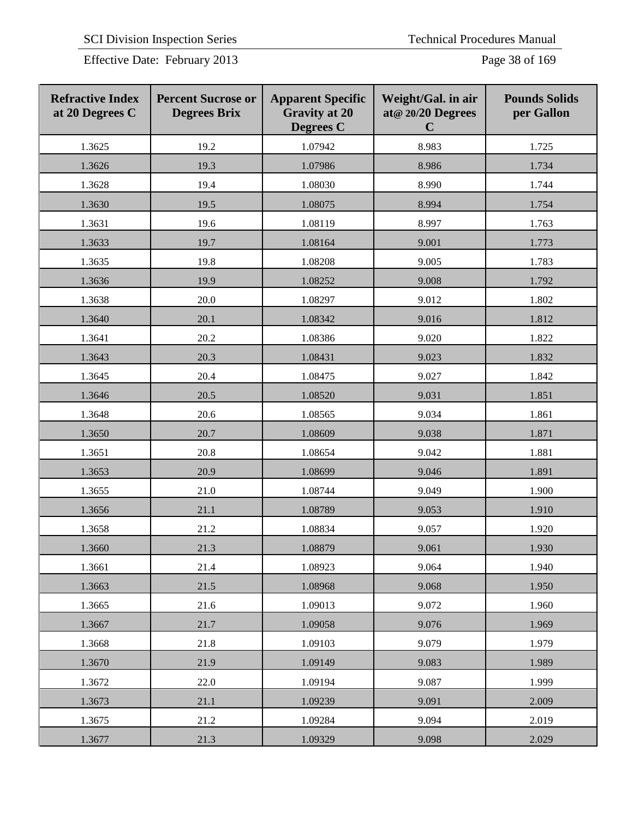Effective Date: February 2013 Page 38 of 169

| <b>Refractive Index</b><br>at 20 Degrees C | <b>Percent Sucrose or</b><br><b>Degrees Brix</b> | <b>Apparent Specific</b><br><b>Gravity at 20</b><br>Degrees C | Weight/Gal. in air<br>at@ 20/20 Degrees<br>$\mathbf C$ | <b>Pounds Solids</b><br>per Gallon |
|--------------------------------------------|--------------------------------------------------|---------------------------------------------------------------|--------------------------------------------------------|------------------------------------|
| 1.3625                                     | 19.2                                             | 1.07942                                                       | 8.983                                                  | 1.725                              |
| 1.3626                                     | 19.3                                             | 1.07986                                                       | 8.986                                                  | 1.734                              |
| 1.3628                                     | 19.4                                             | 1.08030                                                       | 8.990                                                  | 1.744                              |
| 1.3630                                     | 19.5                                             | 1.08075                                                       | 8.994                                                  | 1.754                              |
| 1.3631                                     | 19.6                                             | 1.08119                                                       | 8.997                                                  | 1.763                              |
| 1.3633                                     | 19.7                                             | 1.08164                                                       | 9.001                                                  | 1.773                              |
| 1.3635                                     | 19.8                                             | 1.08208                                                       | 9.005                                                  | 1.783                              |
| 1.3636                                     | 19.9                                             | 1.08252                                                       | 9.008                                                  | 1.792                              |
| 1.3638                                     | 20.0                                             | 1.08297                                                       | 9.012                                                  | 1.802                              |
| 1.3640                                     | 20.1                                             | 1.08342                                                       | 9.016                                                  | 1.812                              |
| 1.3641                                     | 20.2                                             | 1.08386                                                       | 9.020                                                  | 1.822                              |
| 1.3643                                     | 20.3                                             | 1.08431                                                       | 9.023                                                  | 1.832                              |
| 1.3645                                     | 20.4                                             | 1.08475                                                       | 9.027                                                  | 1.842                              |
| 1.3646                                     | 20.5                                             | 1.08520                                                       | 9.031                                                  | 1.851                              |
| 1.3648                                     | 20.6                                             | 1.08565                                                       | 9.034                                                  | 1.861                              |
| 1.3650                                     | 20.7                                             | 1.08609                                                       | 9.038                                                  | 1.871                              |
| 1.3651                                     | 20.8                                             | 1.08654                                                       | 9.042                                                  | 1.881                              |
| 1.3653                                     | 20.9                                             | 1.08699                                                       | 9.046                                                  | 1.891                              |
| 1.3655                                     | 21.0                                             | 1.08744                                                       | 9.049                                                  | 1.900                              |
| 1.3656                                     | 21.1                                             | 1.08789                                                       | 9.053                                                  | 1.910                              |
| 1.3658                                     | 21.2                                             | 1.08834                                                       | 9.057                                                  | 1.920                              |
| 1.3660                                     | 21.3                                             | 1.08879                                                       | 9.061                                                  | 1.930                              |
| 1.3661                                     | 21.4                                             | 1.08923                                                       | 9.064                                                  | 1.940                              |
| 1.3663                                     | 21.5                                             | 1.08968                                                       | 9.068                                                  | 1.950                              |
| 1.3665                                     | 21.6                                             | 1.09013                                                       | 9.072                                                  | 1.960                              |
| 1.3667                                     | 21.7                                             | 1.09058                                                       | 9.076                                                  | 1.969                              |
| 1.3668                                     | 21.8                                             | 1.09103                                                       | 9.079                                                  | 1.979                              |
| 1.3670                                     | 21.9                                             | 1.09149                                                       | 9.083                                                  | 1.989                              |
| 1.3672                                     | 22.0                                             | 1.09194                                                       | 9.087                                                  | 1.999                              |
| 1.3673                                     | 21.1                                             | 1.09239                                                       | 9.091                                                  | 2.009                              |
| 1.3675                                     | 21.2                                             | 1.09284                                                       | 9.094                                                  | 2.019                              |
| 1.3677                                     | 21.3                                             | 1.09329                                                       | 9.098                                                  | 2.029                              |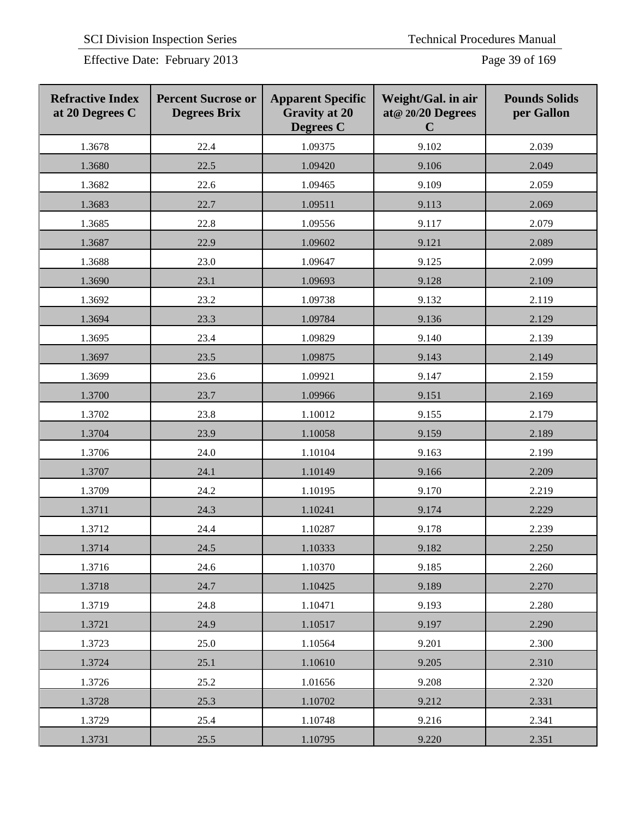Effective Date: February 2013 Page 39 of 169

| <b>Refractive Index</b><br>at 20 Degrees C | <b>Percent Sucrose or</b><br><b>Degrees Brix</b> | <b>Apparent Specific</b><br><b>Gravity at 20</b><br><b>Degrees</b> C | Weight/Gal. in air<br>at@ 20/20 Degrees<br>$\mathbf C$ | <b>Pounds Solids</b><br>per Gallon |
|--------------------------------------------|--------------------------------------------------|----------------------------------------------------------------------|--------------------------------------------------------|------------------------------------|
| 1.3678                                     | 22.4                                             | 1.09375                                                              | 9.102                                                  | 2.039                              |
| 1.3680                                     | 22.5                                             | 1.09420                                                              | 9.106                                                  | 2.049                              |
| 1.3682                                     | 22.6                                             | 1.09465                                                              | 9.109                                                  | 2.059                              |
| 1.3683                                     | 22.7                                             | 1.09511                                                              | 9.113                                                  | 2.069                              |
| 1.3685                                     | 22.8                                             | 1.09556                                                              | 9.117                                                  | 2.079                              |
| 1.3687                                     | 22.9                                             | 1.09602                                                              | 9.121                                                  | 2.089                              |
| 1.3688                                     | 23.0                                             | 1.09647                                                              | 9.125                                                  | 2.099                              |
| 1.3690                                     | 23.1                                             | 1.09693                                                              | 9.128                                                  | 2.109                              |
| 1.3692                                     | 23.2                                             | 1.09738                                                              | 9.132                                                  | 2.119                              |
| 1.3694                                     | 23.3                                             | 1.09784                                                              | 9.136                                                  | 2.129                              |
| 1.3695                                     | 23.4                                             | 1.09829                                                              | 9.140                                                  | 2.139                              |
| 1.3697                                     | 23.5                                             | 1.09875                                                              | 9.143                                                  | 2.149                              |
| 1.3699                                     | 23.6                                             | 1.09921                                                              | 9.147                                                  | 2.159                              |
| 1.3700                                     | 23.7                                             | 1.09966                                                              | 9.151                                                  | 2.169                              |
| 1.3702                                     | 23.8                                             | 1.10012                                                              | 9.155                                                  | 2.179                              |
| 1.3704                                     | 23.9                                             | 1.10058                                                              | 9.159                                                  | 2.189                              |
| 1.3706                                     | 24.0                                             | 1.10104                                                              | 9.163                                                  | 2.199                              |
| 1.3707                                     | 24.1                                             | 1.10149                                                              | 9.166                                                  | 2.209                              |
| 1.3709                                     | 24.2                                             | 1.10195                                                              | 9.170                                                  | 2.219                              |
| 1.3711                                     | 24.3                                             | 1.10241                                                              | 9.174                                                  | 2.229                              |
| 1.3712                                     | 24.4                                             | 1.10287                                                              | 9.178                                                  | 2.239                              |
| 1.3714                                     | 24.5                                             | 1.10333                                                              | 9.182                                                  | 2.250                              |
| 1.3716                                     | 24.6                                             | 1.10370                                                              | 9.185                                                  | 2.260                              |
| 1.3718                                     | 24.7                                             | 1.10425                                                              | 9.189                                                  | 2.270                              |
| 1.3719                                     | 24.8                                             | 1.10471                                                              | 9.193                                                  | 2.280                              |
| 1.3721                                     | 24.9                                             | 1.10517                                                              | 9.197                                                  | 2.290                              |
| 1.3723                                     | 25.0                                             | 1.10564                                                              | 9.201                                                  | 2.300                              |
| 1.3724                                     | 25.1                                             | 1.10610                                                              | 9.205                                                  | 2.310                              |
| 1.3726                                     | 25.2                                             | 1.01656                                                              | 9.208                                                  | 2.320                              |
| 1.3728                                     | 25.3                                             | 1.10702                                                              | 9.212                                                  | 2.331                              |
| 1.3729                                     | 25.4                                             | 1.10748                                                              | 9.216                                                  | 2.341                              |
| 1.3731                                     | 25.5                                             | 1.10795                                                              | 9.220                                                  | 2.351                              |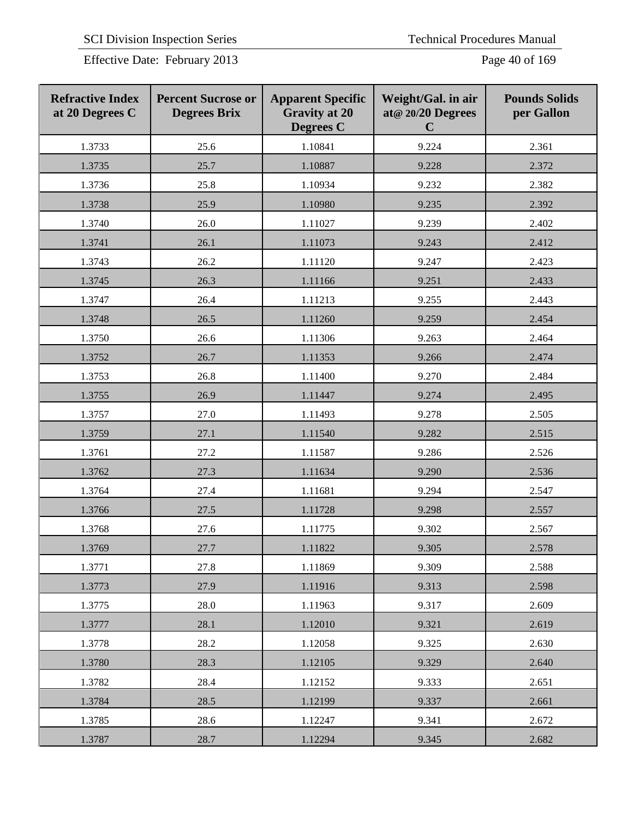Effective Date: February 2013 Page 40 of 169

| <b>Refractive Index</b><br>at 20 Degrees C | <b>Percent Sucrose or</b><br><b>Degrees Brix</b> | <b>Apparent Specific</b><br><b>Gravity at 20</b><br><b>Degrees C</b> | Weight/Gal. in air<br>at@ 20/20 Degrees<br>$\mathbf C$ | <b>Pounds Solids</b><br>per Gallon |
|--------------------------------------------|--------------------------------------------------|----------------------------------------------------------------------|--------------------------------------------------------|------------------------------------|
| 1.3733                                     | 25.6                                             | 1.10841                                                              | 9.224                                                  | 2.361                              |
| 1.3735                                     | 25.7                                             | 1.10887                                                              | 9.228                                                  | 2.372                              |
| 1.3736                                     | 25.8                                             | 1.10934                                                              | 9.232                                                  | 2.382                              |
| 1.3738                                     | 25.9                                             | 1.10980                                                              | 9.235                                                  | 2.392                              |
| 1.3740                                     | 26.0                                             | 1.11027                                                              | 9.239                                                  | 2.402                              |
| 1.3741                                     | 26.1                                             | 1.11073                                                              | 9.243                                                  | 2.412                              |
| 1.3743                                     | 26.2                                             | 1.11120                                                              | 9.247                                                  | 2.423                              |
| 1.3745                                     | 26.3                                             | 1.11166                                                              | 9.251                                                  | 2.433                              |
| 1.3747                                     | 26.4                                             | 1.11213                                                              | 9.255                                                  | 2.443                              |
| 1.3748                                     | 26.5                                             | 1.11260                                                              | 9.259                                                  | 2.454                              |
| 1.3750                                     | 26.6                                             | 1.11306                                                              | 9.263                                                  | 2.464                              |
| 1.3752                                     | 26.7                                             | 1.11353                                                              | 9.266                                                  | 2.474                              |
| 1.3753                                     | 26.8                                             | 1.11400                                                              | 9.270                                                  | 2.484                              |
| 1.3755                                     | 26.9                                             | 1.11447                                                              | 9.274                                                  | 2.495                              |
| 1.3757                                     | 27.0                                             | 1.11493                                                              | 9.278                                                  | 2.505                              |
| 1.3759                                     | 27.1                                             | 1.11540                                                              | 9.282                                                  | 2.515                              |
| 1.3761                                     | 27.2                                             | 1.11587                                                              | 9.286                                                  | 2.526                              |
| 1.3762                                     | 27.3                                             | 1.11634                                                              | 9.290                                                  | 2.536                              |
| 1.3764                                     | 27.4                                             | 1.11681                                                              | 9.294                                                  | 2.547                              |
| 1.3766                                     | 27.5                                             | 1.11728                                                              | 9.298                                                  | 2.557                              |
| 1.3768                                     | 27.6                                             | 1.11775                                                              | 9.302                                                  | 2.567                              |
| 1.3769                                     | 27.7                                             | 1.11822                                                              | 9.305                                                  | 2.578                              |
| 1.3771                                     | 27.8                                             | 1.11869                                                              | 9.309                                                  | 2.588                              |
| 1.3773                                     | 27.9                                             | 1.11916                                                              | 9.313                                                  | 2.598                              |
| 1.3775                                     | 28.0                                             | 1.11963                                                              | 9.317                                                  | 2.609                              |
| 1.3777                                     | 28.1                                             | 1.12010                                                              | 9.321                                                  | 2.619                              |
| 1.3778                                     | 28.2                                             | 1.12058                                                              | 9.325                                                  | 2.630                              |
| 1.3780                                     | 28.3                                             | 1.12105                                                              | 9.329                                                  | 2.640                              |
| 1.3782                                     | 28.4                                             | 1.12152                                                              | 9.333                                                  | 2.651                              |
| 1.3784                                     | 28.5                                             | 1.12199                                                              | 9.337                                                  | 2.661                              |
| 1.3785                                     | 28.6                                             | 1.12247                                                              | 9.341                                                  | 2.672                              |
| 1.3787                                     | 28.7                                             | 1.12294                                                              | 9.345                                                  | 2.682                              |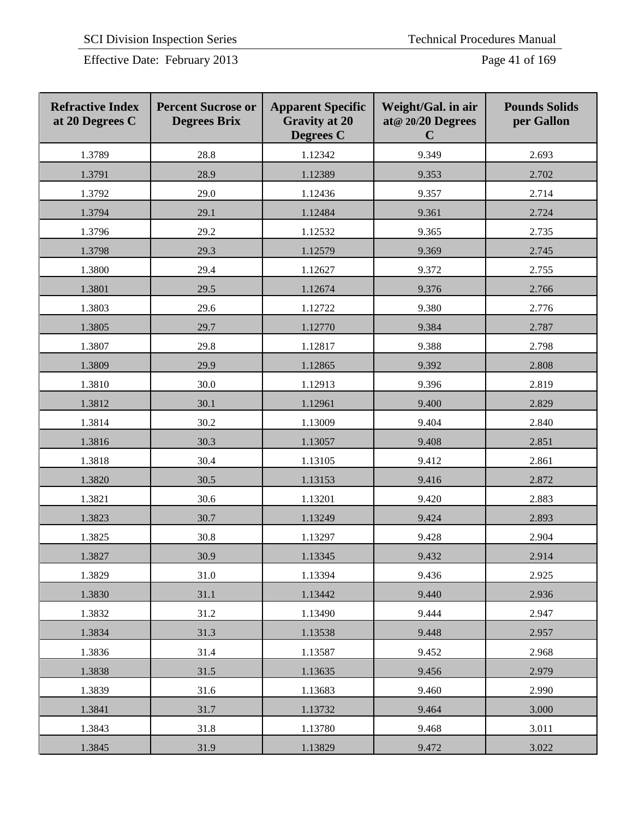| <b>Refractive Index</b><br>at 20 Degrees C | <b>Percent Sucrose or</b><br><b>Degrees Brix</b> | <b>Apparent Specific</b><br><b>Gravity at 20</b><br>Degrees C | Weight/Gal. in air<br>at@ 20/20 Degrees<br>$\mathbf C$ | <b>Pounds Solids</b><br>per Gallon |
|--------------------------------------------|--------------------------------------------------|---------------------------------------------------------------|--------------------------------------------------------|------------------------------------|
| 1.3789                                     | 28.8                                             | 1.12342                                                       | 9.349                                                  | 2.693                              |
| 1.3791                                     | 28.9                                             | 1.12389                                                       | 9.353                                                  | 2.702                              |
| 1.3792                                     | 29.0                                             | 1.12436                                                       | 9.357                                                  | 2.714                              |
| 1.3794                                     | 29.1                                             | 1.12484                                                       | 9.361                                                  | 2.724                              |
| 1.3796                                     | 29.2                                             | 1.12532                                                       | 9.365                                                  | 2.735                              |
| 1.3798                                     | 29.3                                             | 1.12579                                                       | 9.369                                                  | 2.745                              |
| 1.3800                                     | 29.4                                             | 1.12627                                                       | 9.372                                                  | 2.755                              |
| 1.3801                                     | 29.5                                             | 1.12674                                                       | 9.376                                                  | 2.766                              |
| 1.3803                                     | 29.6                                             | 1.12722                                                       | 9.380                                                  | 2.776                              |
| 1.3805                                     | 29.7                                             | 1.12770                                                       | 9.384                                                  | 2.787                              |
| 1.3807                                     | 29.8                                             | 1.12817                                                       | 9.388                                                  | 2.798                              |
| 1.3809                                     | 29.9                                             | 1.12865                                                       | 9.392                                                  | 2.808                              |
| 1.3810                                     | 30.0                                             | 1.12913                                                       | 9.396                                                  | 2.819                              |
| 1.3812                                     | 30.1                                             | 1.12961                                                       | 9.400                                                  | 2.829                              |
| 1.3814                                     | 30.2                                             | 1.13009                                                       | 9.404                                                  | 2.840                              |
| 1.3816                                     | 30.3                                             | 1.13057                                                       | 9.408                                                  | 2.851                              |
| 1.3818                                     | 30.4                                             | 1.13105                                                       | 9.412                                                  | 2.861                              |
| 1.3820                                     | 30.5                                             | 1.13153                                                       | 9.416                                                  | 2.872                              |
| 1.3821                                     | 30.6                                             | 1.13201                                                       | 9.420                                                  | 2.883                              |
| 1.3823                                     | 30.7                                             | 1.13249                                                       | 9.424                                                  | 2.893                              |
| 1.3825                                     | 30.8                                             | 1.13297                                                       | 9.428                                                  | 2.904                              |
| 1.3827                                     | 30.9                                             | 1.13345                                                       | 9.432                                                  | 2.914                              |
| 1.3829                                     | 31.0                                             | 1.13394                                                       | 9.436                                                  | 2.925                              |
| 1.3830                                     | 31.1                                             | 1.13442                                                       | 9.440                                                  | 2.936                              |
| 1.3832                                     | 31.2                                             | 1.13490                                                       | 9.444                                                  | 2.947                              |
| 1.3834                                     | 31.3                                             | 1.13538                                                       | 9.448                                                  | 2.957                              |
| 1.3836                                     | 31.4                                             | 1.13587                                                       | 9.452                                                  | 2.968                              |
| 1.3838                                     | 31.5                                             | 1.13635                                                       | 9.456                                                  | 2.979                              |
| 1.3839                                     | 31.6                                             | 1.13683                                                       | 9.460                                                  | 2.990                              |
| 1.3841                                     | 31.7                                             | 1.13732                                                       | 9.464                                                  | 3.000                              |
| 1.3843                                     | 31.8                                             | 1.13780                                                       | 9.468                                                  | 3.011                              |
| 1.3845                                     | 31.9                                             | 1.13829                                                       | 9.472                                                  | 3.022                              |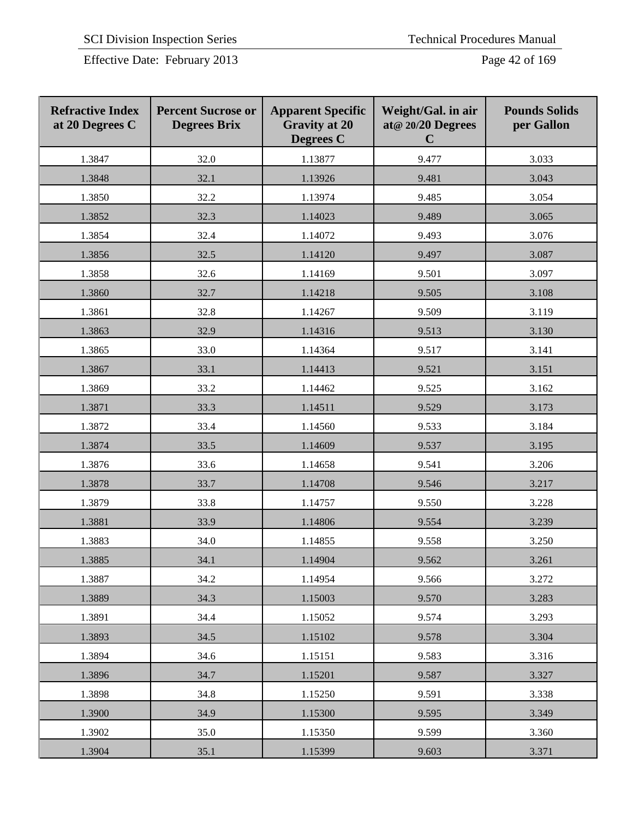Effective Date: February 2013 Page 42 of 169

| <b>Refractive Index</b><br>at 20 Degrees C | <b>Percent Sucrose or</b><br><b>Degrees Brix</b> | <b>Apparent Specific</b><br><b>Gravity at 20</b><br><b>Degrees C</b> | Weight/Gal. in air<br>at@ 20/20 Degrees<br>$\mathbf C$ | <b>Pounds Solids</b><br>per Gallon |
|--------------------------------------------|--------------------------------------------------|----------------------------------------------------------------------|--------------------------------------------------------|------------------------------------|
| 1.3847                                     | 32.0                                             | 1.13877                                                              | 9.477                                                  | 3.033                              |
| 1.3848                                     | 32.1                                             | 1.13926                                                              | 9.481                                                  | 3.043                              |
| 1.3850                                     | 32.2                                             | 1.13974                                                              | 9.485                                                  | 3.054                              |
| 1.3852                                     | 32.3                                             | 1.14023                                                              | 9.489                                                  | 3.065                              |
| 1.3854                                     | 32.4                                             | 1.14072                                                              | 9.493                                                  | 3.076                              |
| 1.3856                                     | 32.5                                             | 1.14120                                                              | 9.497                                                  | 3.087                              |
| 1.3858                                     | 32.6                                             | 1.14169                                                              | 9.501                                                  | 3.097                              |
| 1.3860                                     | 32.7                                             | 1.14218                                                              | 9.505                                                  | 3.108                              |
| 1.3861                                     | 32.8                                             | 1.14267                                                              | 9.509                                                  | 3.119                              |
| 1.3863                                     | 32.9                                             | 1.14316                                                              | 9.513                                                  | 3.130                              |
| 1.3865                                     | 33.0                                             | 1.14364                                                              | 9.517                                                  | 3.141                              |
| 1.3867                                     | 33.1                                             | 1.14413                                                              | 9.521                                                  | 3.151                              |
| 1.3869                                     | 33.2                                             | 1.14462                                                              | 9.525                                                  | 3.162                              |
| 1.3871                                     | 33.3                                             | 1.14511                                                              | 9.529                                                  | 3.173                              |
| 1.3872                                     | 33.4                                             | 1.14560                                                              | 9.533                                                  | 3.184                              |
| 1.3874                                     | 33.5                                             | 1.14609                                                              | 9.537                                                  | 3.195                              |
| 1.3876                                     | 33.6                                             | 1.14658                                                              | 9.541                                                  | 3.206                              |
| 1.3878                                     | 33.7                                             | 1.14708                                                              | 9.546                                                  | 3.217                              |
| 1.3879                                     | 33.8                                             | 1.14757                                                              | 9.550                                                  | 3.228                              |
| 1.3881                                     | 33.9                                             | 1.14806                                                              | 9.554                                                  | 3.239                              |
| 1.3883                                     | 34.0                                             | 1.14855                                                              | 9.558                                                  | 3.250                              |
| 1.3885                                     | 34.1                                             | 1.14904                                                              | 9.562                                                  | 3.261                              |
| 1.3887                                     | 34.2                                             | 1.14954                                                              | 9.566                                                  | 3.272                              |
| 1.3889                                     | 34.3                                             | 1.15003                                                              | 9.570                                                  | 3.283                              |
| 1.3891                                     | 34.4                                             | 1.15052                                                              | 9.574                                                  | 3.293                              |
| 1.3893                                     | 34.5                                             | 1.15102                                                              | 9.578                                                  | 3.304                              |
| 1.3894                                     | 34.6                                             | 1.15151                                                              | 9.583                                                  | 3.316                              |
| 1.3896                                     | 34.7                                             | 1.15201                                                              | 9.587                                                  | 3.327                              |
| 1.3898                                     | 34.8                                             | 1.15250                                                              | 9.591                                                  | 3.338                              |
| 1.3900                                     | 34.9                                             | 1.15300                                                              | 9.595                                                  | 3.349                              |
| 1.3902                                     | 35.0                                             | 1.15350                                                              | 9.599                                                  | 3.360                              |
| 1.3904                                     | 35.1                                             | 1.15399                                                              | 9.603                                                  | 3.371                              |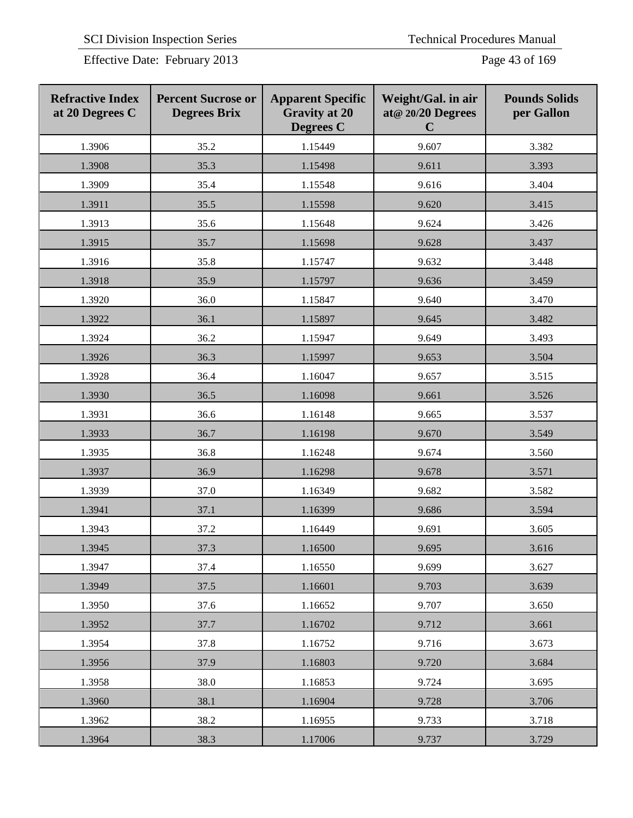Effective Date: February 2013 Page 43 of 169

| <b>Refractive Index</b><br>at 20 Degrees C | <b>Percent Sucrose or</b><br><b>Degrees Brix</b> | <b>Apparent Specific</b><br><b>Gravity at 20</b><br><b>Degrees C</b> | Weight/Gal. in air<br>at@ 20/20 Degrees<br>$\mathbf C$ | <b>Pounds Solids</b><br>per Gallon |
|--------------------------------------------|--------------------------------------------------|----------------------------------------------------------------------|--------------------------------------------------------|------------------------------------|
| 1.3906                                     | 35.2                                             | 1.15449                                                              | 9.607                                                  | 3.382                              |
| 1.3908                                     | 35.3                                             | 1.15498                                                              | 9.611                                                  | 3.393                              |
| 1.3909                                     | 35.4                                             | 1.15548                                                              | 9.616                                                  | 3.404                              |
| 1.3911                                     | 35.5                                             | 1.15598                                                              | 9.620                                                  | 3.415                              |
| 1.3913                                     | 35.6                                             | 1.15648                                                              | 9.624                                                  | 3.426                              |
| 1.3915                                     | 35.7                                             | 1.15698                                                              | 9.628                                                  | 3.437                              |
| 1.3916                                     | 35.8                                             | 1.15747                                                              | 9.632                                                  | 3.448                              |
| 1.3918                                     | 35.9                                             | 1.15797                                                              | 9.636                                                  | 3.459                              |
| 1.3920                                     | 36.0                                             | 1.15847                                                              | 9.640                                                  | 3.470                              |
| 1.3922                                     | 36.1                                             | 1.15897                                                              | 9.645                                                  | 3.482                              |
| 1.3924                                     | 36.2                                             | 1.15947                                                              | 9.649                                                  | 3.493                              |
| 1.3926                                     | 36.3                                             | 1.15997                                                              | 9.653                                                  | 3.504                              |
| 1.3928                                     | 36.4                                             | 1.16047                                                              | 9.657                                                  | 3.515                              |
| 1.3930                                     | 36.5                                             | 1.16098                                                              | 9.661                                                  | 3.526                              |
| 1.3931                                     | 36.6                                             | 1.16148                                                              | 9.665                                                  | 3.537                              |
| 1.3933                                     | 36.7                                             | 1.16198                                                              | 9.670                                                  | 3.549                              |
| 1.3935                                     | 36.8                                             | 1.16248                                                              | 9.674                                                  | 3.560                              |
| 1.3937                                     | 36.9                                             | 1.16298                                                              | 9.678                                                  | 3.571                              |
| 1.3939                                     | 37.0                                             | 1.16349                                                              | 9.682                                                  | 3.582                              |
| 1.3941                                     | 37.1                                             | 1.16399                                                              | 9.686                                                  | 3.594                              |
| 1.3943                                     | 37.2                                             | 1.16449                                                              | 9.691                                                  | 3.605                              |
| 1.3945                                     | 37.3                                             | 1.16500                                                              | 9.695                                                  | 3.616                              |
| 1.3947                                     | 37.4                                             | 1.16550                                                              | 9.699                                                  | 3.627                              |
| 1.3949                                     | 37.5                                             | 1.16601                                                              | 9.703                                                  | 3.639                              |
| 1.3950                                     | 37.6                                             | 1.16652                                                              | 9.707                                                  | 3.650                              |
| 1.3952                                     | 37.7                                             | 1.16702                                                              | 9.712                                                  | 3.661                              |
| 1.3954                                     | 37.8                                             | 1.16752                                                              | 9.716                                                  | 3.673                              |
| 1.3956                                     | 37.9                                             | 1.16803                                                              | 9.720                                                  | 3.684                              |
| 1.3958                                     | 38.0                                             | 1.16853                                                              | 9.724                                                  | 3.695                              |
| 1.3960                                     | 38.1                                             | 1.16904                                                              | 9.728                                                  | 3.706                              |
| 1.3962                                     | 38.2                                             | 1.16955                                                              | 9.733                                                  | 3.718                              |
| 1.3964                                     | 38.3                                             | 1.17006                                                              | 9.737                                                  | 3.729                              |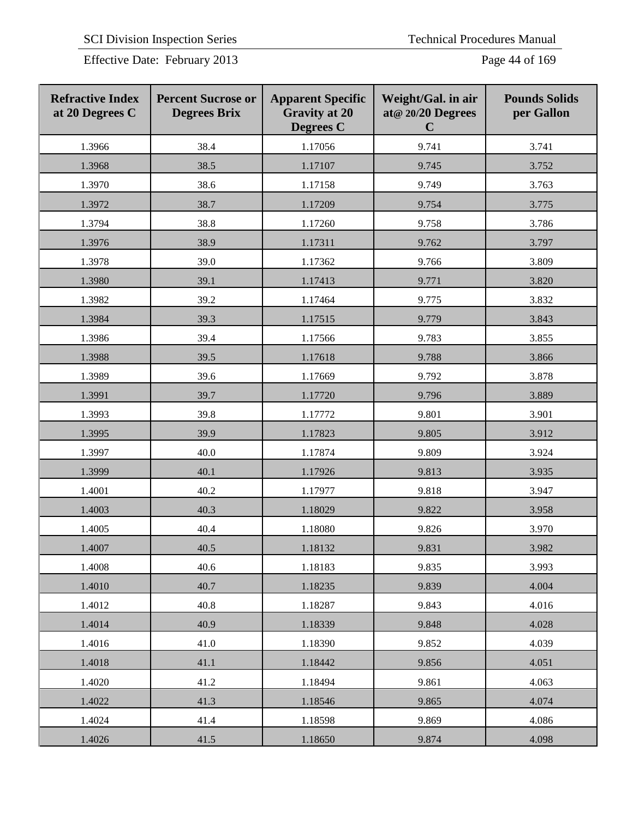Effective Date: February 2013 Page 44 of 169

| <b>Refractive Index</b><br>at 20 Degrees C | <b>Percent Sucrose or</b><br><b>Degrees Brix</b> | <b>Apparent Specific</b><br><b>Gravity at 20</b><br><b>Degrees C</b> | Weight/Gal. in air<br>at@ 20/20 Degrees<br>$\mathbf C$ | <b>Pounds Solids</b><br>per Gallon |
|--------------------------------------------|--------------------------------------------------|----------------------------------------------------------------------|--------------------------------------------------------|------------------------------------|
| 1.3966                                     | 38.4                                             | 1.17056                                                              | 9.741                                                  | 3.741                              |
| 1.3968                                     | 38.5                                             | 1.17107                                                              | 9.745                                                  | 3.752                              |
| 1.3970                                     | 38.6                                             | 1.17158                                                              | 9.749                                                  | 3.763                              |
| 1.3972                                     | 38.7                                             | 1.17209                                                              | 9.754                                                  | 3.775                              |
| 1.3794                                     | 38.8                                             | 1.17260                                                              | 9.758                                                  | 3.786                              |
| 1.3976                                     | 38.9                                             | 1.17311                                                              | 9.762                                                  | 3.797                              |
| 1.3978                                     | 39.0                                             | 1.17362                                                              | 9.766                                                  | 3.809                              |
| 1.3980                                     | 39.1                                             | 1.17413                                                              | 9.771                                                  | 3.820                              |
| 1.3982                                     | 39.2                                             | 1.17464                                                              | 9.775                                                  | 3.832                              |
| 1.3984                                     | 39.3                                             | 1.17515                                                              | 9.779                                                  | 3.843                              |
| 1.3986                                     | 39.4                                             | 1.17566                                                              | 9.783                                                  | 3.855                              |
| 1.3988                                     | 39.5                                             | 1.17618                                                              | 9.788                                                  | 3.866                              |
| 1.3989                                     | 39.6                                             | 1.17669                                                              | 9.792                                                  | 3.878                              |
| 1.3991                                     | 39.7                                             | 1.17720                                                              | 9.796                                                  | 3.889                              |
| 1.3993                                     | 39.8                                             | 1.17772                                                              | 9.801                                                  | 3.901                              |
| 1.3995                                     | 39.9                                             | 1.17823                                                              | 9.805                                                  | 3.912                              |
| 1.3997                                     | 40.0                                             | 1.17874                                                              | 9.809                                                  | 3.924                              |
| 1.3999                                     | 40.1                                             | 1.17926                                                              | 9.813                                                  | 3.935                              |
| 1.4001                                     | 40.2                                             | 1.17977                                                              | 9.818                                                  | 3.947                              |
| 1.4003                                     | 40.3                                             | 1.18029                                                              | 9.822                                                  | 3.958                              |
| 1.4005                                     | 40.4                                             | 1.18080                                                              | 9.826                                                  | 3.970                              |
| 1.4007                                     | 40.5                                             | 1.18132                                                              | 9.831                                                  | 3.982                              |
| 1.4008                                     | 40.6                                             | 1.18183                                                              | 9.835                                                  | 3.993                              |
| 1.4010                                     | 40.7                                             | 1.18235                                                              | 9.839                                                  | 4.004                              |
| 1.4012                                     | 40.8                                             | 1.18287                                                              | 9.843                                                  | 4.016                              |
| 1.4014                                     | 40.9                                             | 1.18339                                                              | 9.848                                                  | 4.028                              |
| 1.4016                                     | 41.0                                             | 1.18390                                                              | 9.852                                                  | 4.039                              |
| 1.4018                                     | 41.1                                             | 1.18442                                                              | 9.856                                                  | 4.051                              |
| 1.4020                                     | 41.2                                             | 1.18494                                                              | 9.861                                                  | 4.063                              |
| 1.4022                                     | 41.3                                             | 1.18546                                                              | 9.865                                                  | 4.074                              |
| 1.4024                                     | 41.4                                             | 1.18598                                                              | 9.869                                                  | 4.086                              |
| 1.4026                                     | 41.5                                             | 1.18650                                                              | 9.874                                                  | 4.098                              |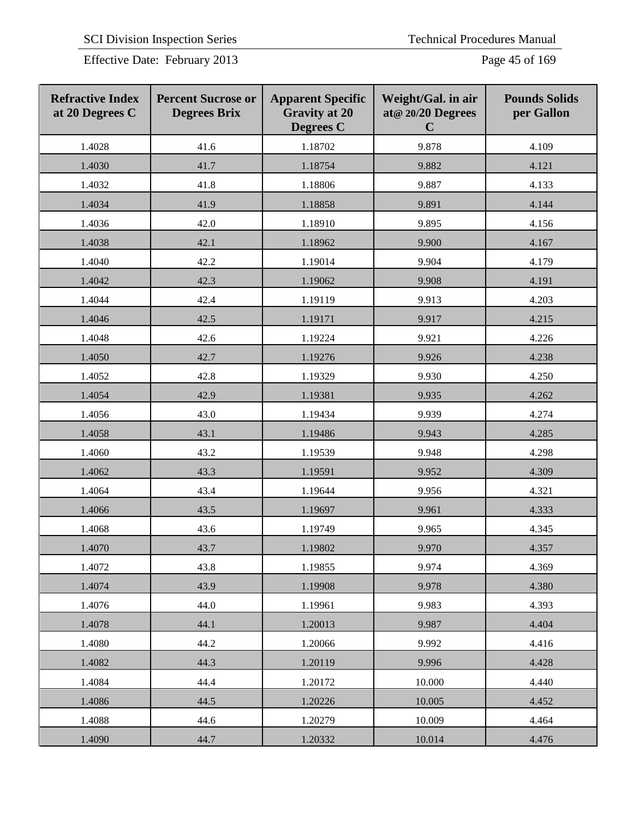Effective Date: February 2013 Page 45 of 169

| <b>Refractive Index</b><br>at 20 Degrees C | <b>Percent Sucrose or</b><br><b>Degrees Brix</b> | <b>Apparent Specific</b><br><b>Gravity at 20</b><br><b>Degrees</b> C | Weight/Gal. in air<br>at@ 20/20 Degrees<br>$\mathbf C$ | <b>Pounds Solids</b><br>per Gallon |
|--------------------------------------------|--------------------------------------------------|----------------------------------------------------------------------|--------------------------------------------------------|------------------------------------|
| 1.4028                                     | 41.6                                             | 1.18702                                                              | 9.878                                                  | 4.109                              |
| 1.4030                                     | 41.7                                             | 1.18754                                                              | 9.882                                                  | 4.121                              |
| 1.4032                                     | 41.8                                             | 1.18806                                                              | 9.887                                                  | 4.133                              |
| 1.4034                                     | 41.9                                             | 1.18858                                                              | 9.891                                                  | 4.144                              |
| 1.4036                                     | 42.0                                             | 1.18910                                                              | 9.895                                                  | 4.156                              |
| 1.4038                                     | 42.1                                             | 1.18962                                                              | 9.900                                                  | 4.167                              |
| 1.4040                                     | 42.2                                             | 1.19014                                                              | 9.904                                                  | 4.179                              |
| 1.4042                                     | 42.3                                             | 1.19062                                                              | 9.908                                                  | 4.191                              |
| 1.4044                                     | 42.4                                             | 1.19119                                                              | 9.913                                                  | 4.203                              |
| 1.4046                                     | 42.5                                             | 1.19171                                                              | 9.917                                                  | 4.215                              |
| 1.4048                                     | 42.6                                             | 1.19224                                                              | 9.921                                                  | 4.226                              |
| 1.4050                                     | 42.7                                             | 1.19276                                                              | 9.926                                                  | 4.238                              |
| 1.4052                                     | 42.8                                             | 1.19329                                                              | 9.930                                                  | 4.250                              |
| 1.4054                                     | 42.9                                             | 1.19381                                                              | 9.935                                                  | 4.262                              |
| 1.4056                                     | 43.0                                             | 1.19434                                                              | 9.939                                                  | 4.274                              |
| 1.4058                                     | 43.1                                             | 1.19486                                                              | 9.943                                                  | 4.285                              |
| 1.4060                                     | 43.2                                             | 1.19539                                                              | 9.948                                                  | 4.298                              |
| 1.4062                                     | 43.3                                             | 1.19591                                                              | 9.952                                                  | 4.309                              |
| 1.4064                                     | 43.4                                             | 1.19644                                                              | 9.956                                                  | 4.321                              |
| 1.4066                                     | 43.5                                             | 1.19697                                                              | 9.961                                                  | 4.333                              |
| 1.4068                                     | 43.6                                             | 1.19749                                                              | 9.965                                                  | 4.345                              |
| 1.4070                                     | 43.7                                             | 1.19802                                                              | 9.970                                                  | 4.357                              |
| 1.4072                                     | 43.8                                             | 1.19855                                                              | 9.974                                                  | 4.369                              |
| 1.4074                                     | 43.9                                             | 1.19908                                                              | 9.978                                                  | 4.380                              |
| 1.4076                                     | 44.0                                             | 1.19961                                                              | 9.983                                                  | 4.393                              |
| 1.4078                                     | 44.1                                             | 1.20013                                                              | 9.987                                                  | 4.404                              |
| 1.4080                                     | 44.2                                             | 1.20066                                                              | 9.992                                                  | 4.416                              |
| 1.4082                                     | 44.3                                             | 1.20119                                                              | 9.996                                                  | 4.428                              |
| 1.4084                                     | 44.4                                             | 1.20172                                                              | 10.000                                                 | 4.440                              |
| 1.4086                                     | 44.5                                             | 1.20226                                                              | 10.005                                                 | 4.452                              |
| 1.4088                                     | 44.6                                             | 1.20279                                                              | 10.009                                                 | 4.464                              |
| 1.4090                                     | 44.7                                             | 1.20332                                                              | 10.014                                                 | 4.476                              |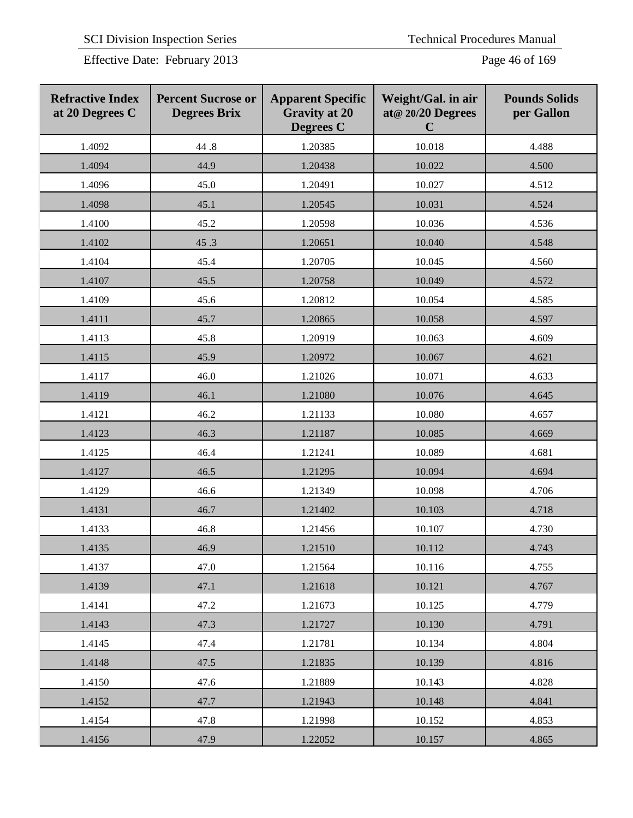Effective Date: February 2013 Page 46 of 169

| <b>Refractive Index</b><br>at 20 Degrees C | <b>Percent Sucrose or</b><br><b>Degrees Brix</b> | <b>Apparent Specific</b><br><b>Gravity at 20</b><br><b>Degrees C</b> | Weight/Gal. in air<br>at@ 20/20 Degrees<br>$\mathbf C$ | <b>Pounds Solids</b><br>per Gallon |
|--------------------------------------------|--------------------------------------------------|----------------------------------------------------------------------|--------------------------------------------------------|------------------------------------|
| 1.4092                                     | 44.8                                             | 1.20385                                                              | 10.018                                                 | 4.488                              |
| 1.4094                                     | 44.9                                             | 1.20438                                                              | 10.022                                                 | 4.500                              |
| 1.4096                                     | 45.0                                             | 1.20491                                                              | 10.027                                                 | 4.512                              |
| 1.4098                                     | 45.1                                             | 1.20545                                                              | 10.031                                                 | 4.524                              |
| 1.4100                                     | 45.2                                             | 1.20598                                                              | 10.036                                                 | 4.536                              |
| 1.4102                                     | 45.3                                             | 1.20651                                                              | 10.040                                                 | 4.548                              |
| 1.4104                                     | 45.4                                             | 1.20705                                                              | 10.045                                                 | 4.560                              |
| 1.4107                                     | 45.5                                             | 1.20758                                                              | 10.049                                                 | 4.572                              |
| 1.4109                                     | 45.6                                             | 1.20812                                                              | 10.054                                                 | 4.585                              |
| 1.4111                                     | 45.7                                             | 1.20865                                                              | 10.058                                                 | 4.597                              |
| 1.4113                                     | 45.8                                             | 1.20919                                                              | 10.063                                                 | 4.609                              |
| 1.4115                                     | 45.9                                             | 1.20972                                                              | 10.067                                                 | 4.621                              |
| 1.4117                                     | 46.0                                             | 1.21026                                                              | 10.071                                                 | 4.633                              |
| 1.4119                                     | 46.1                                             | 1.21080                                                              | 10.076                                                 | 4.645                              |
| 1.4121                                     | 46.2                                             | 1.21133                                                              | 10.080                                                 | 4.657                              |
| 1.4123                                     | 46.3                                             | 1.21187                                                              | 10.085                                                 | 4.669                              |
| 1.4125                                     | 46.4                                             | 1.21241                                                              | 10.089                                                 | 4.681                              |
| 1.4127                                     | 46.5                                             | 1.21295                                                              | 10.094                                                 | 4.694                              |
| 1.4129                                     | 46.6                                             | 1.21349                                                              | 10.098                                                 | 4.706                              |
| 1.4131                                     | 46.7                                             | 1.21402                                                              | 10.103                                                 | 4.718                              |
| 1.4133                                     | 46.8                                             | 1.21456                                                              | 10.107                                                 | 4.730                              |
| 1.4135                                     | 46.9                                             | 1.21510                                                              | 10.112                                                 | 4.743                              |
| 1.4137                                     | 47.0                                             | 1.21564                                                              | 10.116                                                 | 4.755                              |
| 1.4139                                     | 47.1                                             | 1.21618                                                              | 10.121                                                 | 4.767                              |
| 1.4141                                     | 47.2                                             | 1.21673                                                              | 10.125                                                 | 4.779                              |
| 1.4143                                     | 47.3                                             | 1.21727                                                              | 10.130                                                 | 4.791                              |
| 1.4145                                     | 47.4                                             | 1.21781                                                              | 10.134                                                 | 4.804                              |
| 1.4148                                     | 47.5                                             | 1.21835                                                              | 10.139                                                 | 4.816                              |
| 1.4150                                     | 47.6                                             | 1.21889                                                              | 10.143                                                 | 4.828                              |
| 1.4152                                     | 47.7                                             | 1.21943                                                              | 10.148                                                 | 4.841                              |
| 1.4154                                     | 47.8                                             | 1.21998                                                              | 10.152                                                 | 4.853                              |
| 1.4156                                     | 47.9                                             | 1.22052                                                              | 10.157                                                 | 4.865                              |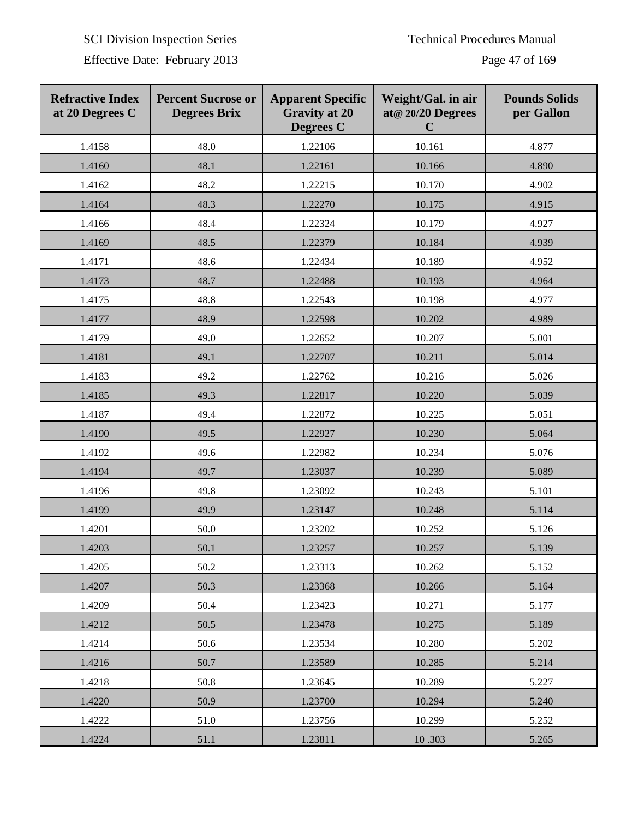Effective Date: February 2013 Page 47 of 169

| <b>Refractive Index</b><br>at 20 Degrees C | <b>Percent Sucrose or</b><br><b>Degrees Brix</b> | <b>Apparent Specific</b><br><b>Gravity at 20</b><br><b>Degrees C</b> | Weight/Gal. in air<br>at@ 20/20 Degrees<br>$\mathbf C$ | <b>Pounds Solids</b><br>per Gallon |
|--------------------------------------------|--------------------------------------------------|----------------------------------------------------------------------|--------------------------------------------------------|------------------------------------|
| 1.4158                                     | 48.0                                             | 1.22106                                                              | 10.161                                                 | 4.877                              |
| 1.4160                                     | 48.1                                             | 1.22161                                                              | 10.166                                                 | 4.890                              |
| 1.4162                                     | 48.2                                             | 1.22215                                                              | 10.170                                                 | 4.902                              |
| 1.4164                                     | 48.3                                             | 1.22270                                                              | 10.175                                                 | 4.915                              |
| 1.4166                                     | 48.4                                             | 1.22324                                                              | 10.179                                                 | 4.927                              |
| 1.4169                                     | 48.5                                             | 1.22379                                                              | 10.184                                                 | 4.939                              |
| 1.4171                                     | 48.6                                             | 1.22434                                                              | 10.189                                                 | 4.952                              |
| 1.4173                                     | 48.7                                             | 1.22488                                                              | 10.193                                                 | 4.964                              |
| 1.4175                                     | 48.8                                             | 1.22543                                                              | 10.198                                                 | 4.977                              |
| 1.4177                                     | 48.9                                             | 1.22598                                                              | 10.202                                                 | 4.989                              |
| 1.4179                                     | 49.0                                             | 1.22652                                                              | 10.207                                                 | 5.001                              |
| 1.4181                                     | 49.1                                             | 1.22707                                                              | 10.211                                                 | 5.014                              |
| 1.4183                                     | 49.2                                             | 1.22762                                                              | 10.216                                                 | 5.026                              |
| 1.4185                                     | 49.3                                             | 1.22817                                                              | 10.220                                                 | 5.039                              |
| 1.4187                                     | 49.4                                             | 1.22872                                                              | 10.225                                                 | 5.051                              |
| 1.4190                                     | 49.5                                             | 1.22927                                                              | 10.230                                                 | 5.064                              |
| 1.4192                                     | 49.6                                             | 1.22982                                                              | 10.234                                                 | 5.076                              |
| 1.4194                                     | 49.7                                             | 1.23037                                                              | 10.239                                                 | 5.089                              |
| 1.4196                                     | 49.8                                             | 1.23092                                                              | 10.243                                                 | 5.101                              |
| 1.4199                                     | 49.9                                             | 1.23147                                                              | 10.248                                                 | 5.114                              |
| 1.4201                                     | 50.0                                             | 1.23202                                                              | 10.252                                                 | 5.126                              |
| 1.4203                                     | 50.1                                             | 1.23257                                                              | 10.257                                                 | 5.139                              |
| 1.4205                                     | 50.2                                             | 1.23313                                                              | 10.262                                                 | 5.152                              |
| 1.4207                                     | 50.3                                             | 1.23368                                                              | 10.266                                                 | 5.164                              |
| 1.4209                                     | 50.4                                             | 1.23423                                                              | 10.271                                                 | 5.177                              |
| 1.4212                                     | 50.5                                             | 1.23478                                                              | 10.275                                                 | 5.189                              |
| 1.4214                                     | 50.6                                             | 1.23534                                                              | 10.280                                                 | 5.202                              |
| 1.4216                                     | 50.7                                             | 1.23589                                                              | 10.285                                                 | 5.214                              |
| 1.4218                                     | 50.8                                             | 1.23645                                                              | 10.289                                                 | 5.227                              |
| 1.4220                                     | 50.9                                             | 1.23700                                                              | 10.294                                                 | 5.240                              |
| 1.4222                                     | 51.0                                             | 1.23756                                                              | 10.299                                                 | 5.252                              |
| 1.4224                                     | 51.1                                             | 1.23811                                                              | 10.303                                                 | 5.265                              |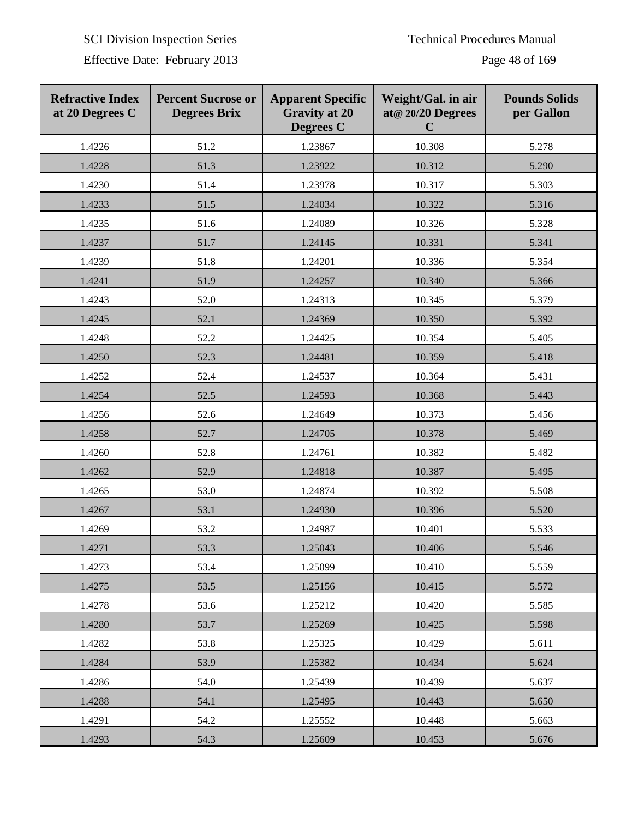Effective Date: February 2013 Page 48 of 169

| <b>Refractive Index</b><br>at 20 Degrees C | <b>Percent Sucrose or</b><br><b>Degrees Brix</b> | <b>Apparent Specific</b><br><b>Gravity at 20</b><br><b>Degrees C</b> | Weight/Gal. in air<br>at@ 20/20 Degrees<br>$\mathbf C$ | <b>Pounds Solids</b><br>per Gallon |
|--------------------------------------------|--------------------------------------------------|----------------------------------------------------------------------|--------------------------------------------------------|------------------------------------|
| 1.4226                                     | 51.2                                             | 1.23867                                                              | 10.308                                                 | 5.278                              |
| 1.4228                                     | 51.3                                             | 1.23922                                                              | 10.312                                                 | 5.290                              |
| 1.4230                                     | 51.4                                             | 1.23978                                                              | 10.317                                                 | 5.303                              |
| 1.4233                                     | 51.5                                             | 1.24034                                                              | 10.322                                                 | 5.316                              |
| 1.4235                                     | 51.6                                             | 1.24089                                                              | 10.326                                                 | 5.328                              |
| 1.4237                                     | 51.7                                             | 1.24145                                                              | 10.331                                                 | 5.341                              |
| 1.4239                                     | 51.8                                             | 1.24201                                                              | 10.336                                                 | 5.354                              |
| 1.4241                                     | 51.9                                             | 1.24257                                                              | 10.340                                                 | 5.366                              |
| 1.4243                                     | 52.0                                             | 1.24313                                                              | 10.345                                                 | 5.379                              |
| 1.4245                                     | 52.1                                             | 1.24369                                                              | 10.350                                                 | 5.392                              |
| 1.4248                                     | 52.2                                             | 1.24425                                                              | 10.354                                                 | 5.405                              |
| 1.4250                                     | 52.3                                             | 1.24481                                                              | 10.359                                                 | 5.418                              |
| 1.4252                                     | 52.4                                             | 1.24537                                                              | 10.364                                                 | 5.431                              |
| 1.4254                                     | 52.5                                             | 1.24593                                                              | 10.368                                                 | 5.443                              |
| 1.4256                                     | 52.6                                             | 1.24649                                                              | 10.373                                                 | 5.456                              |
| 1.4258                                     | 52.7                                             | 1.24705                                                              | 10.378                                                 | 5.469                              |
| 1.4260                                     | 52.8                                             | 1.24761                                                              | 10.382                                                 | 5.482                              |
| 1.4262                                     | 52.9                                             | 1.24818                                                              | 10.387                                                 | 5.495                              |
| 1.4265                                     | 53.0                                             | 1.24874                                                              | 10.392                                                 | 5.508                              |
| 1.4267                                     | 53.1                                             | 1.24930                                                              | 10.396                                                 | 5.520                              |
| 1.4269                                     | 53.2                                             | 1.24987                                                              | 10.401                                                 | 5.533                              |
| 1.4271                                     | 53.3                                             | 1.25043                                                              | 10.406                                                 | 5.546                              |
| 1.4273                                     | 53.4                                             | 1.25099                                                              | 10.410                                                 | 5.559                              |
| 1.4275                                     | 53.5                                             | 1.25156                                                              | 10.415                                                 | 5.572                              |
| 1.4278                                     | 53.6                                             | 1.25212                                                              | 10.420                                                 | 5.585                              |
| 1.4280                                     | 53.7                                             | 1.25269                                                              | 10.425                                                 | 5.598                              |
| 1.4282                                     | 53.8                                             | 1.25325                                                              | 10.429                                                 | 5.611                              |
| 1.4284                                     | 53.9                                             | 1.25382                                                              | 10.434                                                 | 5.624                              |
| 1.4286                                     | 54.0                                             | 1.25439                                                              | 10.439                                                 | 5.637                              |
| 1.4288                                     | 54.1                                             | 1.25495                                                              | 10.443                                                 | 5.650                              |
| 1.4291                                     | 54.2                                             | 1.25552                                                              | 10.448                                                 | 5.663                              |
| 1.4293                                     | 54.3                                             | 1.25609                                                              | 10.453                                                 | 5.676                              |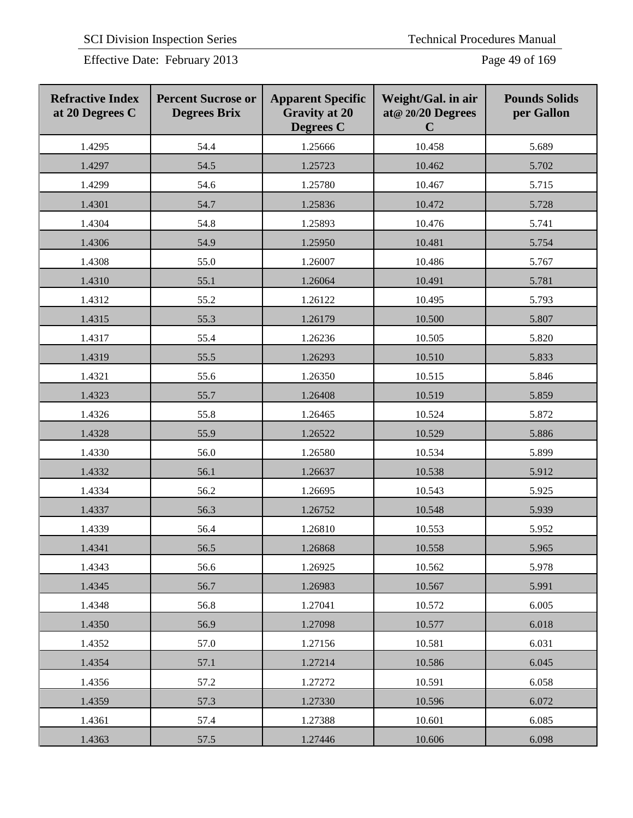Effective Date: February 2013 Page 49 of 169

| <b>Refractive Index</b><br>at 20 Degrees C | <b>Percent Sucrose or</b><br><b>Degrees Brix</b> | <b>Apparent Specific</b><br><b>Gravity at 20</b><br><b>Degrees C</b> | Weight/Gal. in air<br>at@ 20/20 Degrees<br>$\mathbf C$ | <b>Pounds Solids</b><br>per Gallon |
|--------------------------------------------|--------------------------------------------------|----------------------------------------------------------------------|--------------------------------------------------------|------------------------------------|
| 1.4295                                     | 54.4                                             | 1.25666                                                              | 10.458                                                 | 5.689                              |
| 1.4297                                     | 54.5                                             | 1.25723                                                              | 10.462                                                 | 5.702                              |
| 1.4299                                     | 54.6                                             | 1.25780                                                              | 10.467                                                 | 5.715                              |
| 1.4301                                     | 54.7                                             | 1.25836                                                              | 10.472                                                 | 5.728                              |
| 1.4304                                     | 54.8                                             | 1.25893                                                              | 10.476                                                 | 5.741                              |
| 1.4306                                     | 54.9                                             | 1.25950                                                              | 10.481                                                 | 5.754                              |
| 1.4308                                     | 55.0                                             | 1.26007                                                              | 10.486                                                 | 5.767                              |
| 1.4310                                     | 55.1                                             | 1.26064                                                              | 10.491                                                 | 5.781                              |
| 1.4312                                     | 55.2                                             | 1.26122                                                              | 10.495                                                 | 5.793                              |
| 1.4315                                     | 55.3                                             | 1.26179                                                              | 10.500                                                 | 5.807                              |
| 1.4317                                     | 55.4                                             | 1.26236                                                              | 10.505                                                 | 5.820                              |
| 1.4319                                     | 55.5                                             | 1.26293                                                              | 10.510                                                 | 5.833                              |
| 1.4321                                     | 55.6                                             | 1.26350                                                              | 10.515                                                 | 5.846                              |
| 1.4323                                     | 55.7                                             | 1.26408                                                              | 10.519                                                 | 5.859                              |
| 1.4326                                     | 55.8                                             | 1.26465                                                              | 10.524                                                 | 5.872                              |
| 1.4328                                     | 55.9                                             | 1.26522                                                              | 10.529                                                 | 5.886                              |
| 1.4330                                     | 56.0                                             | 1.26580                                                              | 10.534                                                 | 5.899                              |
| 1.4332                                     | 56.1                                             | 1.26637                                                              | 10.538                                                 | 5.912                              |
| 1.4334                                     | 56.2                                             | 1.26695                                                              | 10.543                                                 | 5.925                              |
| 1.4337                                     | 56.3                                             | 1.26752                                                              | 10.548                                                 | 5.939                              |
| 1.4339                                     | 56.4                                             | 1.26810                                                              | 10.553                                                 | 5.952                              |
| 1.4341                                     | 56.5                                             | 1.26868                                                              | 10.558                                                 | 5.965                              |
| 1.4343                                     | 56.6                                             | 1.26925                                                              | 10.562                                                 | 5.978                              |
| 1.4345                                     | 56.7                                             | 1.26983                                                              | 10.567                                                 | 5.991                              |
| 1.4348                                     | 56.8                                             | 1.27041                                                              | 10.572                                                 | 6.005                              |
| 1.4350                                     | 56.9                                             | 1.27098                                                              | 10.577                                                 | 6.018                              |
| 1.4352                                     | 57.0                                             | 1.27156                                                              | 10.581                                                 | 6.031                              |
| 1.4354                                     | 57.1                                             | 1.27214                                                              | 10.586                                                 | 6.045                              |
| 1.4356                                     | 57.2                                             | 1.27272                                                              | 10.591                                                 | 6.058                              |
| 1.4359                                     | 57.3                                             | 1.27330                                                              | 10.596                                                 | 6.072                              |
| 1.4361                                     | 57.4                                             | 1.27388                                                              | 10.601                                                 | 6.085                              |
| 1.4363                                     | 57.5                                             | 1.27446                                                              | 10.606                                                 | 6.098                              |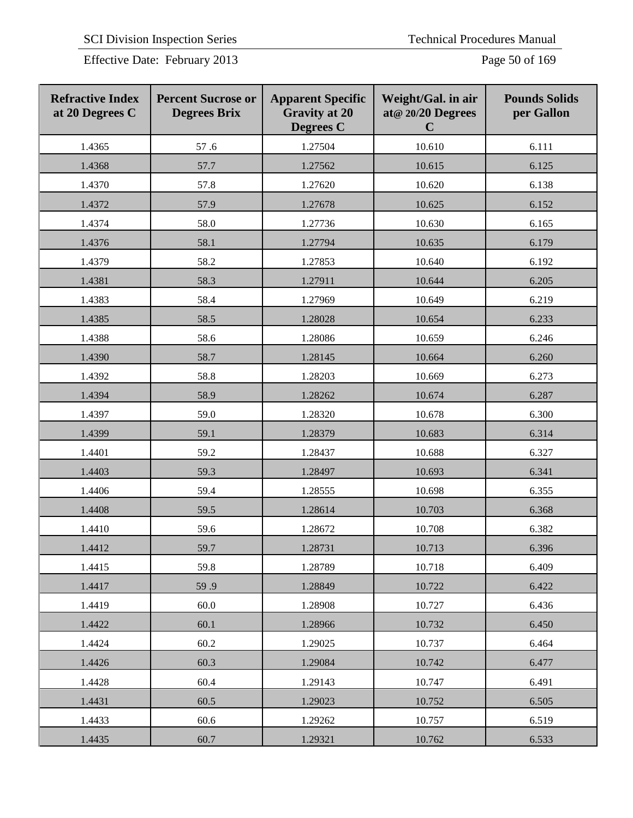Effective Date: February 2013 Page 50 of 169

| <b>Refractive Index</b><br>at 20 Degrees C | <b>Percent Sucrose or</b><br><b>Degrees Brix</b> | <b>Apparent Specific</b><br><b>Gravity at 20</b><br><b>Degrees C</b> | Weight/Gal. in air<br>at@ 20/20 Degrees<br>$\mathbf C$ | <b>Pounds Solids</b><br>per Gallon |
|--------------------------------------------|--------------------------------------------------|----------------------------------------------------------------------|--------------------------------------------------------|------------------------------------|
| 1.4365                                     | 57.6                                             | 1.27504                                                              | 10.610                                                 | 6.111                              |
| 1.4368                                     | 57.7                                             | 1.27562                                                              | 10.615                                                 | 6.125                              |
| 1.4370                                     | 57.8                                             | 1.27620                                                              | 10.620                                                 | 6.138                              |
| 1.4372                                     | 57.9                                             | 1.27678                                                              | 10.625                                                 | 6.152                              |
| 1.4374                                     | 58.0                                             | 1.27736                                                              | 10.630                                                 | 6.165                              |
| 1.4376                                     | 58.1                                             | 1.27794                                                              | 10.635                                                 | 6.179                              |
| 1.4379                                     | 58.2                                             | 1.27853                                                              | 10.640                                                 | 6.192                              |
| 1.4381                                     | 58.3                                             | 1.27911                                                              | 10.644                                                 | 6.205                              |
| 1.4383                                     | 58.4                                             | 1.27969                                                              | 10.649                                                 | 6.219                              |
| 1.4385                                     | 58.5                                             | 1.28028                                                              | 10.654                                                 | 6.233                              |
| 1.4388                                     | 58.6                                             | 1.28086                                                              | 10.659                                                 | 6.246                              |
| 1.4390                                     | 58.7                                             | 1.28145                                                              | 10.664                                                 | 6.260                              |
| 1.4392                                     | 58.8                                             | 1.28203                                                              | 10.669                                                 | 6.273                              |
| 1.4394                                     | 58.9                                             | 1.28262                                                              | 10.674                                                 | 6.287                              |
| 1.4397                                     | 59.0                                             | 1.28320                                                              | 10.678                                                 | 6.300                              |
| 1.4399                                     | 59.1                                             | 1.28379                                                              | 10.683                                                 | 6.314                              |
| 1.4401                                     | 59.2                                             | 1.28437                                                              | 10.688                                                 | 6.327                              |
| 1.4403                                     | 59.3                                             | 1.28497                                                              | 10.693                                                 | 6.341                              |
| 1.4406                                     | 59.4                                             | 1.28555                                                              | 10.698                                                 | 6.355                              |
| 1.4408                                     | 59.5                                             | 1.28614                                                              | 10.703                                                 | 6.368                              |
| 1.4410                                     | 59.6                                             | 1.28672                                                              | 10.708                                                 | 6.382                              |
| 1.4412                                     | 59.7                                             | 1.28731                                                              | 10.713                                                 | 6.396                              |
| 1.4415                                     | 59.8                                             | 1.28789                                                              | 10.718                                                 | 6.409                              |
| 1.4417                                     | 59.9                                             | 1.28849                                                              | 10.722                                                 | 6.422                              |
| 1.4419                                     | 60.0                                             | 1.28908                                                              | 10.727                                                 | 6.436                              |
| 1.4422                                     | 60.1                                             | 1.28966                                                              | 10.732                                                 | 6.450                              |
| 1.4424                                     | 60.2                                             | 1.29025                                                              | 10.737                                                 | 6.464                              |
| 1.4426                                     | 60.3                                             | 1.29084                                                              | 10.742                                                 | 6.477                              |
| 1.4428                                     | 60.4                                             | 1.29143                                                              | 10.747                                                 | 6.491                              |
| 1.4431                                     | 60.5                                             | 1.29023                                                              | 10.752                                                 | 6.505                              |
| 1.4433                                     | 60.6                                             | 1.29262                                                              | 10.757                                                 | 6.519                              |
| 1.4435                                     | 60.7                                             | 1.29321                                                              | 10.762                                                 | 6.533                              |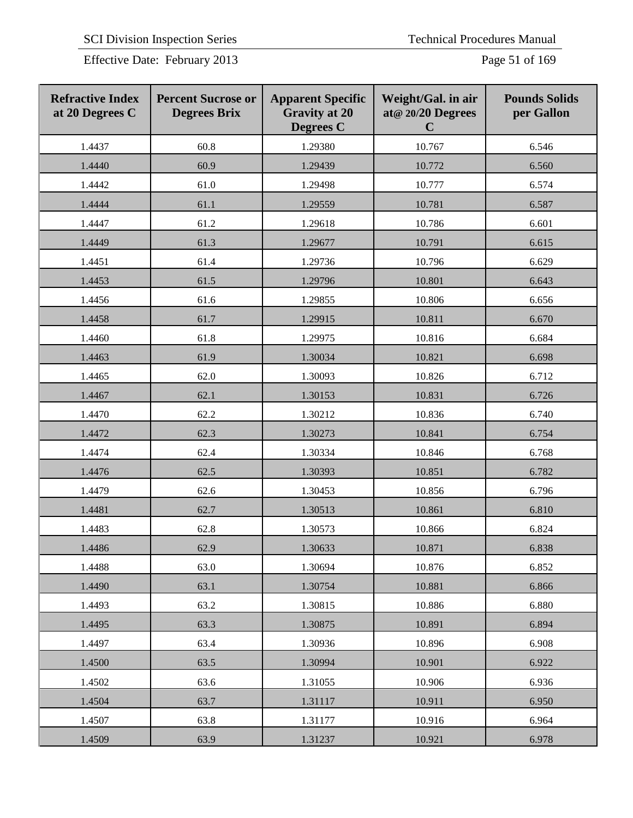Effective Date: February 2013 Page 51 of 169

| <b>Refractive Index</b><br>at 20 Degrees C | <b>Percent Sucrose or</b><br><b>Degrees Brix</b> | <b>Apparent Specific</b><br><b>Gravity at 20</b><br>Degrees C | Weight/Gal. in air<br>at@ 20/20 Degrees<br>$\mathbf C$ | <b>Pounds Solids</b><br>per Gallon |
|--------------------------------------------|--------------------------------------------------|---------------------------------------------------------------|--------------------------------------------------------|------------------------------------|
| 1.4437                                     | 60.8                                             | 1.29380                                                       | 10.767                                                 | 6.546                              |
| 1.4440                                     | 60.9                                             | 1.29439                                                       | 10.772                                                 | 6.560                              |
| 1.4442                                     | 61.0                                             | 1.29498                                                       | 10.777                                                 | 6.574                              |
| 1.4444                                     | 61.1                                             | 1.29559                                                       | 10.781                                                 | 6.587                              |
| 1.4447                                     | 61.2                                             | 1.29618                                                       | 10.786                                                 | 6.601                              |
| 1.4449                                     | 61.3                                             | 1.29677                                                       | 10.791                                                 | 6.615                              |
| 1.4451                                     | 61.4                                             | 1.29736                                                       | 10.796                                                 | 6.629                              |
| 1.4453                                     | 61.5                                             | 1.29796                                                       | 10.801                                                 | 6.643                              |
| 1.4456                                     | 61.6                                             | 1.29855                                                       | 10.806                                                 | 6.656                              |
| 1.4458                                     | 61.7                                             | 1.29915                                                       | 10.811                                                 | 6.670                              |
| 1.4460                                     | 61.8                                             | 1.29975                                                       | 10.816                                                 | 6.684                              |
| 1.4463                                     | 61.9                                             | 1.30034                                                       | 10.821                                                 | 6.698                              |
| 1.4465                                     | 62.0                                             | 1.30093                                                       | 10.826                                                 | 6.712                              |
| 1.4467                                     | 62.1                                             | 1.30153                                                       | 10.831                                                 | 6.726                              |
| 1.4470                                     | 62.2                                             | 1.30212                                                       | 10.836                                                 | 6.740                              |
| 1.4472                                     | 62.3                                             | 1.30273                                                       | 10.841                                                 | 6.754                              |
| 1.4474                                     | 62.4                                             | 1.30334                                                       | 10.846                                                 | 6.768                              |
| 1.4476                                     | 62.5                                             | 1.30393                                                       | 10.851                                                 | 6.782                              |
| 1.4479                                     | 62.6                                             | 1.30453                                                       | 10.856                                                 | 6.796                              |
| 1.4481                                     | 62.7                                             | 1.30513                                                       | 10.861                                                 | 6.810                              |
| 1.4483                                     | 62.8                                             | 1.30573                                                       | 10.866                                                 | 6.824                              |
| 1.4486                                     | 62.9                                             | 1.30633                                                       | 10.871                                                 | 6.838                              |
| 1.4488                                     | 63.0                                             | 1.30694                                                       | 10.876                                                 | 6.852                              |
| 1.4490                                     | 63.1                                             | 1.30754                                                       | 10.881                                                 | 6.866                              |
| 1.4493                                     | 63.2                                             | 1.30815                                                       | 10.886                                                 | 6.880                              |
| 1.4495                                     | 63.3                                             | 1.30875                                                       | 10.891                                                 | 6.894                              |
| 1.4497                                     | 63.4                                             | 1.30936                                                       | 10.896                                                 | 6.908                              |
| 1.4500                                     | 63.5                                             | 1.30994                                                       | 10.901                                                 | 6.922                              |
| 1.4502                                     | 63.6                                             | 1.31055                                                       | 10.906                                                 | 6.936                              |
| 1.4504                                     | 63.7                                             | 1.31117                                                       | 10.911                                                 | 6.950                              |
| 1.4507                                     | 63.8                                             | 1.31177                                                       | 10.916                                                 | 6.964                              |
| 1.4509                                     | 63.9                                             | 1.31237                                                       | 10.921                                                 | 6.978                              |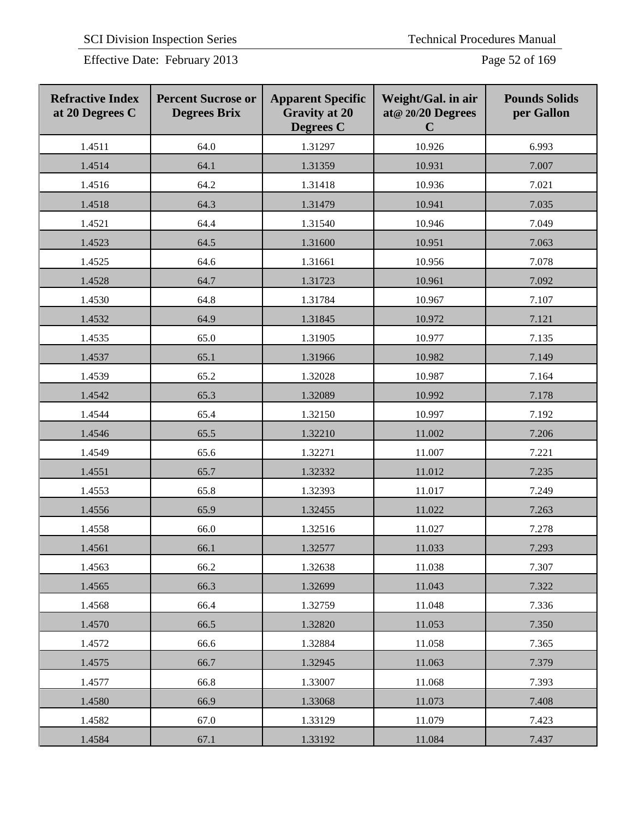Effective Date: February 2013 Page 52 of 169

| <b>Refractive Index</b><br>at 20 Degrees C | <b>Percent Sucrose or</b><br><b>Degrees Brix</b> | <b>Apparent Specific</b><br><b>Gravity at 20</b><br><b>Degrees C</b> | Weight/Gal. in air<br>at@ 20/20 Degrees<br>$\mathbf C$ | <b>Pounds Solids</b><br>per Gallon |
|--------------------------------------------|--------------------------------------------------|----------------------------------------------------------------------|--------------------------------------------------------|------------------------------------|
| 1.4511                                     | 64.0                                             | 1.31297                                                              | 10.926                                                 | 6.993                              |
| 1.4514                                     | 64.1                                             | 1.31359                                                              | 10.931                                                 | 7.007                              |
| 1.4516                                     | 64.2                                             | 1.31418                                                              | 10.936                                                 | 7.021                              |
| 1.4518                                     | 64.3                                             | 1.31479                                                              | 10.941                                                 | 7.035                              |
| 1.4521                                     | 64.4                                             | 1.31540                                                              | 10.946                                                 | 7.049                              |
| 1.4523                                     | 64.5                                             | 1.31600                                                              | 10.951                                                 | 7.063                              |
| 1.4525                                     | 64.6                                             | 1.31661                                                              | 10.956                                                 | 7.078                              |
| 1.4528                                     | 64.7                                             | 1.31723                                                              | 10.961                                                 | 7.092                              |
| 1.4530                                     | 64.8                                             | 1.31784                                                              | 10.967                                                 | 7.107                              |
| 1.4532                                     | 64.9                                             | 1.31845                                                              | 10.972                                                 | 7.121                              |
| 1.4535                                     | 65.0                                             | 1.31905                                                              | 10.977                                                 | 7.135                              |
| 1.4537                                     | 65.1                                             | 1.31966                                                              | 10.982                                                 | 7.149                              |
| 1.4539                                     | 65.2                                             | 1.32028                                                              | 10.987                                                 | 7.164                              |
| 1.4542                                     | 65.3                                             | 1.32089                                                              | 10.992                                                 | 7.178                              |
| 1.4544                                     | 65.4                                             | 1.32150                                                              | 10.997                                                 | 7.192                              |
| 1.4546                                     | 65.5                                             | 1.32210                                                              | 11.002                                                 | 7.206                              |
| 1.4549                                     | 65.6                                             | 1.32271                                                              | 11.007                                                 | 7.221                              |
| 1.4551                                     | 65.7                                             | 1.32332                                                              | 11.012                                                 | 7.235                              |
| 1.4553                                     | 65.8                                             | 1.32393                                                              | 11.017                                                 | 7.249                              |
| 1.4556                                     | 65.9                                             | 1.32455                                                              | 11.022                                                 | 7.263                              |
| 1.4558                                     | 66.0                                             | 1.32516                                                              | 11.027                                                 | 7.278                              |
| 1.4561                                     | 66.1                                             | 1.32577                                                              | 11.033                                                 | 7.293                              |
| 1.4563                                     | 66.2                                             | 1.32638                                                              | 11.038                                                 | 7.307                              |
| 1.4565                                     | 66.3                                             | 1.32699                                                              | 11.043                                                 | 7.322                              |
| 1.4568                                     | 66.4                                             | 1.32759                                                              | 11.048                                                 | 7.336                              |
| 1.4570                                     | 66.5                                             | 1.32820                                                              | 11.053                                                 | 7.350                              |
| 1.4572                                     | 66.6                                             | 1.32884                                                              | 11.058                                                 | 7.365                              |
| 1.4575                                     | 66.7                                             | 1.32945                                                              | 11.063                                                 | 7.379                              |
| 1.4577                                     | 66.8                                             | 1.33007                                                              | 11.068                                                 | 7.393                              |
| 1.4580                                     | 66.9                                             | 1.33068                                                              | 11.073                                                 | 7.408                              |
| 1.4582                                     | 67.0                                             | 1.33129                                                              | 11.079                                                 | 7.423                              |
| 1.4584                                     | 67.1                                             | 1.33192                                                              | 11.084                                                 | 7.437                              |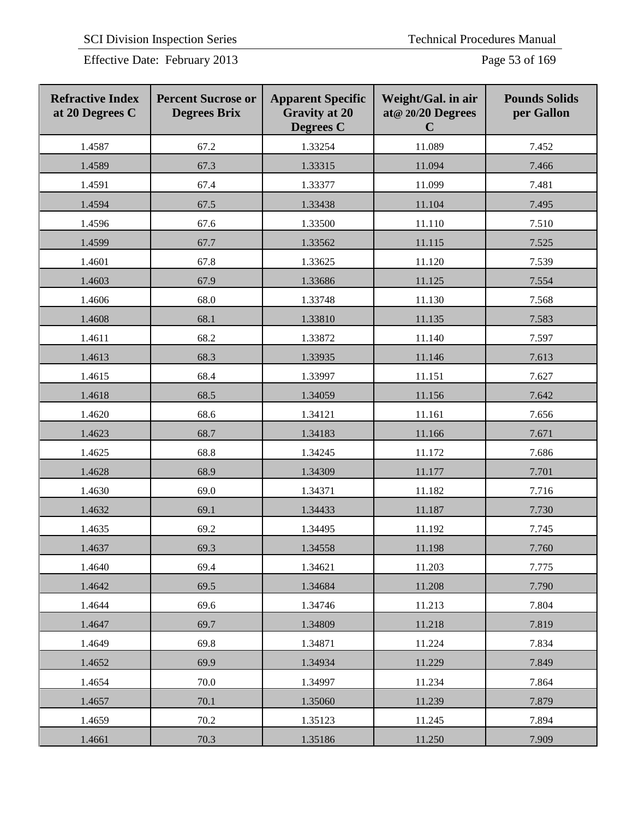Effective Date: February 2013 Page 53 of 169

| <b>Refractive Index</b><br>at 20 Degrees C | <b>Percent Sucrose or</b><br><b>Degrees Brix</b> | <b>Apparent Specific</b><br><b>Gravity at 20</b><br><b>Degrees C</b> | Weight/Gal. in air<br>at@ 20/20 Degrees<br>$\mathbf C$ | <b>Pounds Solids</b><br>per Gallon |
|--------------------------------------------|--------------------------------------------------|----------------------------------------------------------------------|--------------------------------------------------------|------------------------------------|
| 1.4587                                     | 67.2                                             | 1.33254                                                              | 11.089                                                 | 7.452                              |
| 1.4589                                     | 67.3                                             | 1.33315                                                              | 11.094                                                 | 7.466                              |
| 1.4591                                     | 67.4                                             | 1.33377                                                              | 11.099                                                 | 7.481                              |
| 1.4594                                     | 67.5                                             | 1.33438                                                              | 11.104                                                 | 7.495                              |
| 1.4596                                     | 67.6                                             | 1.33500                                                              | 11.110                                                 | 7.510                              |
| 1.4599                                     | 67.7                                             | 1.33562                                                              | 11.115                                                 | 7.525                              |
| 1.4601                                     | 67.8                                             | 1.33625                                                              | 11.120                                                 | 7.539                              |
| 1.4603                                     | 67.9                                             | 1.33686                                                              | 11.125                                                 | 7.554                              |
| 1.4606                                     | 68.0                                             | 1.33748                                                              | 11.130                                                 | 7.568                              |
| 1.4608                                     | 68.1                                             | 1.33810                                                              | 11.135                                                 | 7.583                              |
| 1.4611                                     | 68.2                                             | 1.33872                                                              | 11.140                                                 | 7.597                              |
| 1.4613                                     | 68.3                                             | 1.33935                                                              | 11.146                                                 | 7.613                              |
| 1.4615                                     | 68.4                                             | 1.33997                                                              | 11.151                                                 | 7.627                              |
| 1.4618                                     | 68.5                                             | 1.34059                                                              | 11.156                                                 | 7.642                              |
| 1.4620                                     | 68.6                                             | 1.34121                                                              | 11.161                                                 | 7.656                              |
| 1.4623                                     | 68.7                                             | 1.34183                                                              | 11.166                                                 | 7.671                              |
| 1.4625                                     | 68.8                                             | 1.34245                                                              | 11.172                                                 | 7.686                              |
| 1.4628                                     | 68.9                                             | 1.34309                                                              | 11.177                                                 | 7.701                              |
| 1.4630                                     | 69.0                                             | 1.34371                                                              | 11.182                                                 | 7.716                              |
| 1.4632                                     | 69.1                                             | 1.34433                                                              | 11.187                                                 | 7.730                              |
| 1.4635                                     | 69.2                                             | 1.34495                                                              | 11.192                                                 | 7.745                              |
| 1.4637                                     | 69.3                                             | 1.34558                                                              | 11.198                                                 | 7.760                              |
| 1.4640                                     | 69.4                                             | 1.34621                                                              | 11.203                                                 | 7.775                              |
| 1.4642                                     | 69.5                                             | 1.34684                                                              | 11.208                                                 | 7.790                              |
| 1.4644                                     | 69.6                                             | 1.34746                                                              | 11.213                                                 | 7.804                              |
| 1.4647                                     | 69.7                                             | 1.34809                                                              | 11.218                                                 | 7.819                              |
| 1.4649                                     | 69.8                                             | 1.34871                                                              | 11.224                                                 | 7.834                              |
| 1.4652                                     | 69.9                                             | 1.34934                                                              | 11.229                                                 | 7.849                              |
| 1.4654                                     | 70.0                                             | 1.34997                                                              | 11.234                                                 | 7.864                              |
| 1.4657                                     | 70.1                                             | 1.35060                                                              | 11.239                                                 | 7.879                              |
| 1.4659                                     | 70.2                                             | 1.35123                                                              | 11.245                                                 | 7.894                              |
| 1.4661                                     | 70.3                                             | 1.35186                                                              | 11.250                                                 | 7.909                              |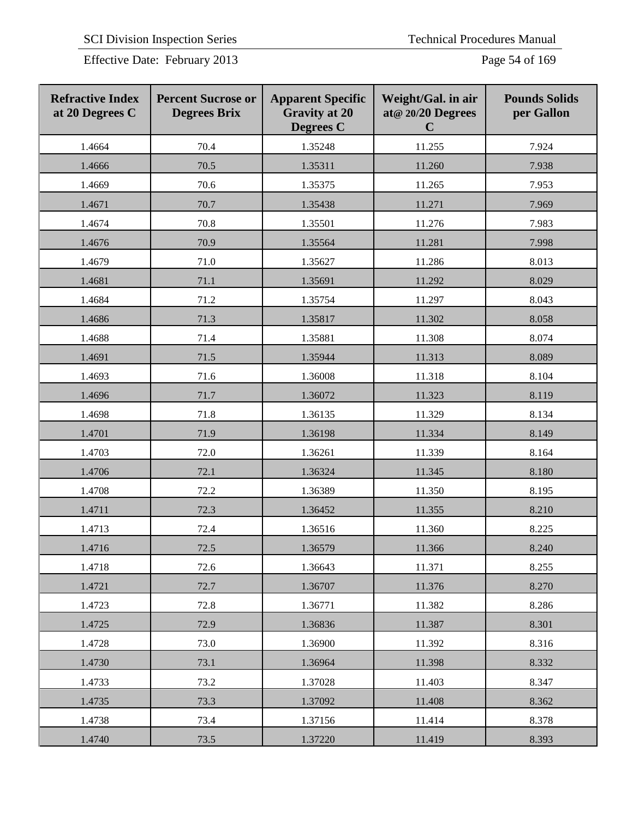Effective Date: February 2013 Page 54 of 169

| <b>Refractive Index</b><br>at 20 Degrees C | <b>Percent Sucrose or</b><br><b>Degrees Brix</b> | <b>Apparent Specific</b><br><b>Gravity at 20</b><br><b>Degrees C</b> | Weight/Gal. in air<br>at@ 20/20 Degrees<br>$\mathbf C$ | <b>Pounds Solids</b><br>per Gallon |
|--------------------------------------------|--------------------------------------------------|----------------------------------------------------------------------|--------------------------------------------------------|------------------------------------|
| 1.4664                                     | 70.4                                             | 1.35248                                                              | 11.255                                                 | 7.924                              |
| 1.4666                                     | 70.5                                             | 1.35311                                                              | 11.260                                                 | 7.938                              |
| 1.4669                                     | 70.6                                             | 1.35375                                                              | 11.265                                                 | 7.953                              |
| 1.4671                                     | 70.7                                             | 1.35438                                                              | 11.271                                                 | 7.969                              |
| 1.4674                                     | 70.8                                             | 1.35501                                                              | 11.276                                                 | 7.983                              |
| 1.4676                                     | 70.9                                             | 1.35564                                                              | 11.281                                                 | 7.998                              |
| 1.4679                                     | 71.0                                             | 1.35627                                                              | 11.286                                                 | 8.013                              |
| 1.4681                                     | 71.1                                             | 1.35691                                                              | 11.292                                                 | 8.029                              |
| 1.4684                                     | 71.2                                             | 1.35754                                                              | 11.297                                                 | 8.043                              |
| 1.4686                                     | 71.3                                             | 1.35817                                                              | 11.302                                                 | 8.058                              |
| 1.4688                                     | 71.4                                             | 1.35881                                                              | 11.308                                                 | 8.074                              |
| 1.4691                                     | 71.5                                             | 1.35944                                                              | 11.313                                                 | 8.089                              |
| 1.4693                                     | 71.6                                             | 1.36008                                                              | 11.318                                                 | 8.104                              |
| 1.4696                                     | 71.7                                             | 1.36072                                                              | 11.323                                                 | 8.119                              |
| 1.4698                                     | 71.8                                             | 1.36135                                                              | 11.329                                                 | 8.134                              |
| 1.4701                                     | 71.9                                             | 1.36198                                                              | 11.334                                                 | 8.149                              |
| 1.4703                                     | 72.0                                             | 1.36261                                                              | 11.339                                                 | 8.164                              |
| 1.4706                                     | 72.1                                             | 1.36324                                                              | 11.345                                                 | 8.180                              |
| 1.4708                                     | 72.2                                             | 1.36389                                                              | 11.350                                                 | 8.195                              |
| 1.4711                                     | 72.3                                             | 1.36452                                                              | 11.355                                                 | 8.210                              |
| 1.4713                                     | 72.4                                             | 1.36516                                                              | 11.360                                                 | 8.225                              |
| 1.4716                                     | 72.5                                             | 1.36579                                                              | 11.366                                                 | 8.240                              |
| 1.4718                                     | 72.6                                             | 1.36643                                                              | 11.371                                                 | 8.255                              |
| 1.4721                                     | 72.7                                             | 1.36707                                                              | 11.376                                                 | 8.270                              |
| 1.4723                                     | 72.8                                             | 1.36771                                                              | 11.382                                                 | 8.286                              |
| 1.4725                                     | 72.9                                             | 1.36836                                                              | 11.387                                                 | 8.301                              |
| 1.4728                                     | 73.0                                             | 1.36900                                                              | 11.392                                                 | 8.316                              |
| 1.4730                                     | 73.1                                             | 1.36964                                                              | 11.398                                                 | 8.332                              |
| 1.4733                                     | 73.2                                             | 1.37028                                                              | 11.403                                                 | 8.347                              |
| 1.4735                                     | 73.3                                             | 1.37092                                                              | 11.408                                                 | 8.362                              |
| 1.4738                                     | 73.4                                             | 1.37156                                                              | 11.414                                                 | 8.378                              |
| 1.4740                                     | 73.5                                             | 1.37220                                                              | 11.419                                                 | 8.393                              |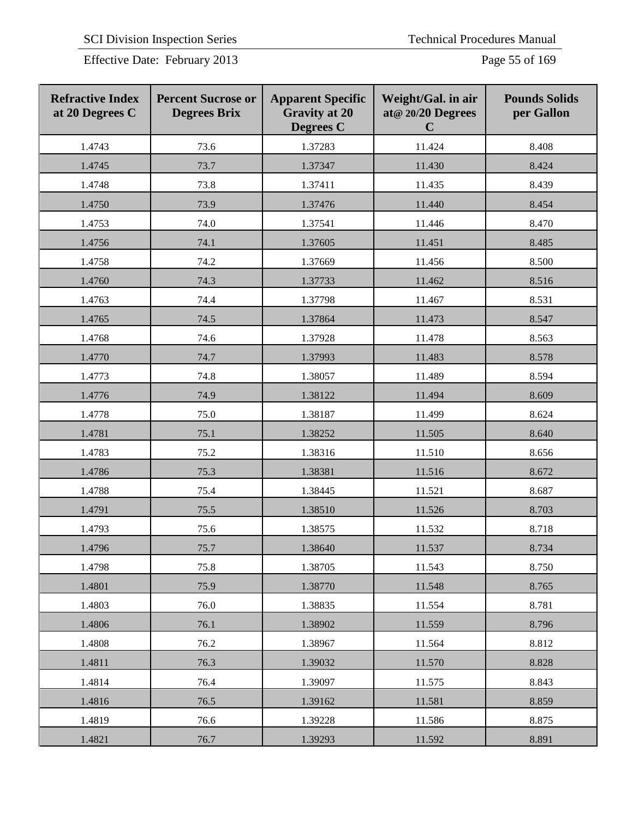Effective Date: February 2013 Page 55 of 169

| <b>Refractive Index</b><br>at 20 Degrees C | <b>Percent Sucrose or</b><br><b>Degrees Brix</b> | <b>Apparent Specific</b><br><b>Gravity at 20</b><br>Degrees C | Weight/Gal. in air<br>at@ 20/20 Degrees<br>$\mathbf C$ | <b>Pounds Solids</b><br>per Gallon |
|--------------------------------------------|--------------------------------------------------|---------------------------------------------------------------|--------------------------------------------------------|------------------------------------|
| 1.4743                                     | 73.6                                             | 1.37283                                                       | 11.424                                                 | 8.408                              |
| 1.4745                                     | 73.7                                             | 1.37347                                                       | 11.430                                                 | 8.424                              |
| 1.4748                                     | 73.8                                             | 1.37411                                                       | 11.435                                                 | 8.439                              |
| 1.4750                                     | 73.9                                             | 1.37476                                                       | 11.440                                                 | 8.454                              |
| 1.4753                                     | 74.0                                             | 1.37541                                                       | 11.446                                                 | 8.470                              |
| 1.4756                                     | 74.1                                             | 1.37605                                                       | 11.451                                                 | 8.485                              |
| 1.4758                                     | 74.2                                             | 1.37669                                                       | 11.456                                                 | 8.500                              |
| 1.4760                                     | 74.3                                             | 1.37733                                                       | 11.462                                                 | 8.516                              |
| 1.4763                                     | 74.4                                             | 1.37798                                                       | 11.467                                                 | 8.531                              |
| 1.4765                                     | 74.5                                             | 1.37864                                                       | 11.473                                                 | 8.547                              |
| 1.4768                                     | 74.6                                             | 1.37928                                                       | 11.478                                                 | 8.563                              |
| 1.4770                                     | 74.7                                             | 1.37993                                                       | 11.483                                                 | 8.578                              |
| 1.4773                                     | 74.8                                             | 1.38057                                                       | 11.489                                                 | 8.594                              |
| 1.4776                                     | 74.9                                             | 1.38122                                                       | 11.494                                                 | 8.609                              |
| 1.4778                                     | 75.0                                             | 1.38187                                                       | 11.499                                                 | 8.624                              |
| 1.4781                                     | 75.1                                             | 1.38252                                                       | 11.505                                                 | 8.640                              |
| 1.4783                                     | 75.2                                             | 1.38316                                                       | 11.510                                                 | 8.656                              |
| 1.4786                                     | 75.3                                             | 1.38381                                                       | 11.516                                                 | 8.672                              |
| 1.4788                                     | 75.4                                             | 1.38445                                                       | 11.521                                                 | 8.687                              |
| 1.4791                                     | 75.5                                             | 1.38510                                                       | 11.526                                                 | 8.703                              |
| 1.4793                                     | 75.6                                             | 1.38575                                                       | 11.532                                                 | 8.718                              |
| 1.4796                                     | 75.7                                             | 1.38640                                                       | 11.537                                                 | 8.734                              |
| 1.4798                                     | 75.8                                             | 1.38705                                                       | 11.543                                                 | 8.750                              |
| 1.4801                                     | 75.9                                             | 1.38770                                                       | 11.548                                                 | 8.765                              |
| 1.4803                                     | 76.0                                             | 1.38835                                                       | 11.554                                                 | 8.781                              |
| 1.4806                                     | 76.1                                             | 1.38902                                                       | 11.559                                                 | 8.796                              |
| 1.4808                                     | 76.2                                             | 1.38967                                                       | 11.564                                                 | 8.812                              |
| 1.4811                                     | 76.3                                             | 1.39032                                                       | 11.570                                                 | 8.828                              |
| 1.4814                                     | 76.4                                             | 1.39097                                                       | 11.575                                                 | 8.843                              |
| 1.4816                                     | 76.5                                             | 1.39162                                                       | 11.581                                                 | 8.859                              |
| 1.4819                                     | 76.6                                             | 1.39228                                                       | 11.586                                                 | 8.875                              |
| 1.4821                                     | 76.7                                             | 1.39293                                                       | 11.592                                                 | 8.891                              |